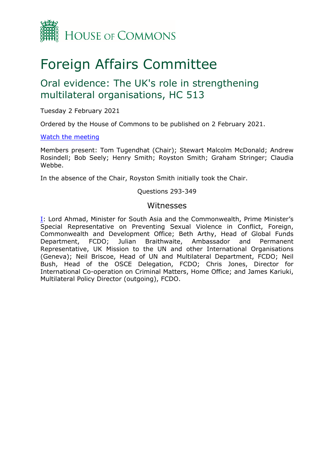

# Foreign Affairs Committee

## Oral evidence: The UK's role in strengthening multilateral organisations, HC 513

Tuesday 2 February 2021

Ordered by the House of Commons to be published on 2 February 2021.

#### [Watch](https://parliamentlive.tv/event/index/fda7abc6-4562-4b15-9ab4-073006bd8a47) [the](https://parliamentlive.tv/event/index/fda7abc6-4562-4b15-9ab4-073006bd8a47) [meeting](https://parliamentlive.tv/event/index/fda7abc6-4562-4b15-9ab4-073006bd8a47)

Members present: Tom Tugendhat (Chair); Stewart Malcolm McDonald; Andrew Rosindell; Bob Seely; Henry Smith; Royston Smith; Graham Stringer; Claudia Webbe.

In the absence of the Chair, Royston Smith initially took the Chair.

#### Questions 293-349

#### Witnesses

[I:](#page-1-0) Lord Ahmad, Minister for South Asia and the Commonwealth, Prime Minister's Special Representative on Preventing Sexual Violence in Conflict, Foreign, Commonwealth and Development Office; Beth Arthy, Head of Global Funds Department, FCDO; Julian Braithwaite, Ambassador and Permanent Representative, UK Mission to the UN and other International Organisations (Geneva); Neil Briscoe, Head of UN and Multilateral Department, FCDO; Neil Bush, Head of the OSCE Delegation, FCDO; Chris Jones, Director for International Co-operation on Criminal Matters, Home Office; and James Kariuki, Multilateral Policy Director (outgoing), FCDO.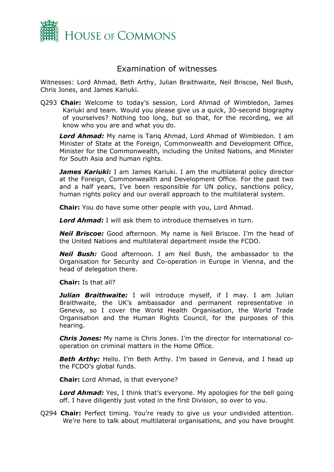

### <span id="page-1-0"></span>Examination of witnesses

Witnesses: Lord Ahmad, Beth Arthy, Julian Braithwaite, Neil Briscoe, Neil Bush, Chris Jones, and James Kariuki.

Q293 **Chair:** Welcome to today's session, Lord Ahmad of Wimbledon, James Kariuki and team. Would you please give us a quick, 30-second biography of yourselves? Nothing too long, but so that, for the recording, we all know who you are and what you do.

*Lord Ahmad:* My name is Tariq Ahmad, Lord Ahmad of Wimbledon. I am Minister of State at the Foreign, Commonwealth and Development Office, Minister for the Commonwealth, including the United Nations, and Minister for South Asia and human rights.

**James Kariuki:** I am James Kariuki. I am the multilateral policy director at the Foreign, Commonwealth and Development Office. For the past two and a half years, I've been responsible for UN policy, sanctions policy, human rights policy and our overall approach to the multilateral system.

**Chair:** You do have some other people with you, Lord Ahmad.

*Lord Ahmad:* I will ask them to introduce themselves in turn.

*Neil Briscoe:* Good afternoon. My name is Neil Briscoe. I'm the head of the United Nations and multilateral department inside the FCDO.

*Neil Bush:* Good afternoon. I am Neil Bush, the ambassador to the Organisation for Security and Co-operation in Europe in Vienna, and the head of delegation there.

**Chair:** Is that all?

*Julian Braithwaite:* I will introduce myself, if I may. I am Julian Braithwaite, the UK's ambassador and permanent representative in Geneva, so I cover the World Health Organisation, the World Trade Organisation and the Human Rights Council, for the purposes of this hearing.

*Chris Jones:* My name is Chris Jones. I'm the director for international cooperation on criminal matters in the Home Office.

**Beth Arthy:** Hello. I'm Beth Arthy. I'm based in Geneva, and I head up the FCDO's global funds.

**Chair:** Lord Ahmad, is that everyone?

*Lord Ahmad:* Yes, I think that's everyone. My apologies for the bell going off. I have diligently just voted in the first Division, so over to you.

Q294 **Chair:** Perfect timing. You're ready to give us your undivided attention. We're here to talk about multilateral organisations, and you have brought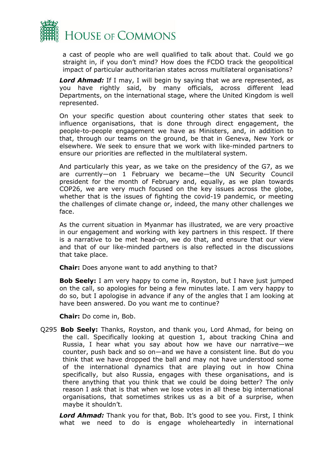

a cast of people who are well qualified to talk about that. Could we go straight in, if you don't mind? How does the FCDO track the geopolitical impact of particular authoritarian states across multilateral organisations?

**Lord Ahmad:** If I may, I will begin by saying that we are represented, as you have rightly said, by many officials, across different lead Departments, on the international stage, where the United Kingdom is well represented.

On your specific question about countering other states that seek to influence organisations, that is done through direct engagement, the people-to-people engagement we have as Ministers, and, in addition to that, through our teams on the ground, be that in Geneva, New York or elsewhere. We seek to ensure that we work with like-minded partners to ensure our priorities are reflected in the multilateral system.

And particularly this year, as we take on the presidency of the G7, as we are currently—on 1 February we became—the UN Security Council president for the month of February and, equally, as we plan towards COP26, we are very much focused on the key issues across the globe, whether that is the issues of fighting the covid-19 pandemic, or meeting the challenges of climate change or, indeed, the many other challenges we face.

As the current situation in Myanmar has illustrated, we are very proactive in our engagement and working with key partners in this respect. If there is a narrative to be met head-on, we do that, and ensure that our view and that of our like-minded partners is also reflected in the discussions that take place.

**Chair:** Does anyone want to add anything to that?

**Bob Seely:** I am very happy to come in, Royston, but I have just jumped on the call, so apologies for being a few minutes late. I am very happy to do so, but I apologise in advance if any of the angles that I am looking at have been answered. Do you want me to continue?

**Chair:** Do come in, Bob.

Q295 **Bob Seely:** Thanks, Royston, and thank you, Lord Ahmad, for being on the call. Specifically looking at question 1, about tracking China and Russia, I hear what you say about how we have our narrative—we counter, push back and so on—and we have a consistent line. But do you think that we have dropped the ball and may not have understood some of the international dynamics that are playing out in how China specifically, but also Russia, engages with these organisations, and is there anything that you think that we could be doing better? The only reason I ask that is that when we lose votes in all these big international organisations, that sometimes strikes us as a bit of a surprise, when maybe it shouldn't.

*Lord Ahmad:* Thank you for that, Bob. It's good to see you. First, I think what we need to do is engage wholeheartedly in international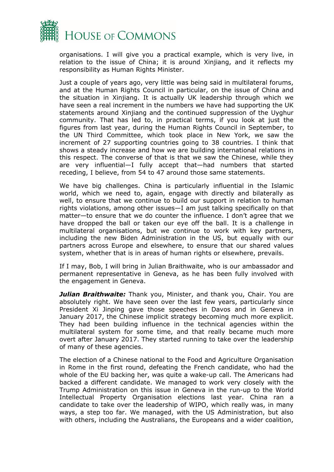

organisations. I will give you a practical example, which is very live, in relation to the issue of China; it is around Xinjiang, and it reflects my responsibility as Human Rights Minister.

Just a couple of years ago, very little was being said in multilateral forums, and at the Human Rights Council in particular, on the issue of China and the situation in Xinjiang. It is actually UK leadership through which we have seen a real increment in the numbers we have had supporting the UK statements around Xinjiang and the continued suppression of the Uyghur community. That has led to, in practical terms, if you look at just the figures from last year, during the Human Rights Council in September, to the UN Third Committee, which took place in New York, we saw the increment of 27 supporting countries going to 38 countries. I think that shows a steady increase and how we are building international relations in this respect. The converse of that is that we saw the Chinese, while they are very influential—I fully accept that—had numbers that started receding, I believe, from 54 to 47 around those same statements.

We have big challenges. China is particularly influential in the Islamic world, which we need to, again, engage with directly and bilaterally as well, to ensure that we continue to build our support in relation to human rights violations, among other issues—I am just talking specifically on that matter—to ensure that we do counter the influence. I don't agree that we have dropped the ball or taken our eye off the ball. It is a challenge in multilateral organisations, but we continue to work with key partners, including the new Biden Administration in the US, but equally with our partners across Europe and elsewhere, to ensure that our shared values system, whether that is in areas of human rights or elsewhere, prevails.

If I may, Bob, I will bring in Julian Braithwaite, who is our ambassador and permanent representative in Geneva, as he has been fully involved with the engagement in Geneva.

*Julian Braithwaite:* Thank you, Minister, and thank you, Chair. You are absolutely right. We have seen over the last few years, particularly since President Xi Jinping gave those speeches in Davos and in Geneva in January 2017, the Chinese implicit strategy becoming much more explicit. They had been building influence in the technical agencies within the multilateral system for some time, and that really became much more overt after January 2017. They started running to take over the leadership of many of these agencies.

The election of a Chinese national to the Food and Agriculture Organisation in Rome in the first round, defeating the French candidate, who had the whole of the EU backing her, was quite a wake-up call. The Americans had backed a different candidate. We managed to work very closely with the Trump Administration on this issue in Geneva in the run-up to the World Intellectual Property Organisation elections last year. China ran a candidate to take over the leadership of WIPO, which really was, in many ways, a step too far. We managed, with the US Administration, but also with others, including the Australians, the Europeans and a wider coalition,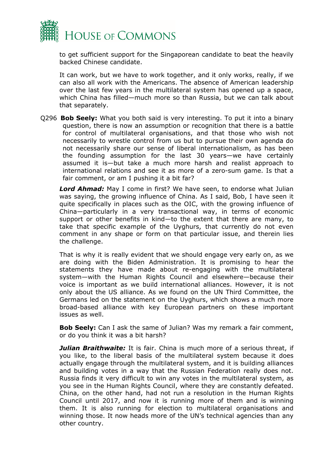

to get sufficient support for the Singaporean candidate to beat the heavily backed Chinese candidate.

It can work, but we have to work together, and it only works, really, if we can also all work with the Americans. The absence of American leadership over the last few years in the multilateral system has opened up a space, which China has filled—much more so than Russia, but we can talk about that separately.

Q296 **Bob Seely:** What you both said is very interesting. To put it into a binary question, there is now an assumption or recognition that there is a battle for control of multilateral organisations, and that those who wish not necessarily to wrestle control from us but to pursue their own agenda do not necessarily share our sense of liberal internationalism, as has been the founding assumption for the last 30 years—we have certainly assumed it is—but take a much more harsh and realist approach to international relations and see it as more of a zero-sum game. Is that a fair comment, or am I pushing it a bit far?

*Lord Ahmad:* May I come in first? We have seen, to endorse what Julian was saying, the growing influence of China. As I said, Bob, I have seen it quite specifically in places such as the OIC, with the growing influence of China—particularly in a very transactional way, in terms of economic support or other benefits in kind—to the extent that there are many, to take that specific example of the Uyghurs, that currently do not even comment in any shape or form on that particular issue, and therein lies the challenge.

That is why it is really evident that we should engage very early on, as we are doing with the Biden Administration. It is promising to hear the statements they have made about re-engaging with the multilateral system—with the Human Rights Council and elsewhere—because their voice is important as we build international alliances. However, it is not only about the US alliance. As we found on the UN Third Committee, the Germans led on the statement on the Uyghurs, which shows a much more broad-based alliance with key European partners on these important issues as well.

**Bob Seely:** Can I ask the same of Julian? Was my remark a fair comment, or do you think it was a bit harsh?

*Julian Braithwaite:* It is fair. China is much more of a serious threat, if you like, to the liberal basis of the multilateral system because it does actually engage through the multilateral system, and it is building alliances and building votes in a way that the Russian Federation really does not. Russia finds it very difficult to win any votes in the multilateral system, as you see in the Human Rights Council, where they are constantly defeated. China, on the other hand, had not run a resolution in the Human Rights Council until 2017, and now it is running more of them and is winning them. It is also running for election to multilateral organisations and winning those. It now heads more of the UN's technical agencies than any other country.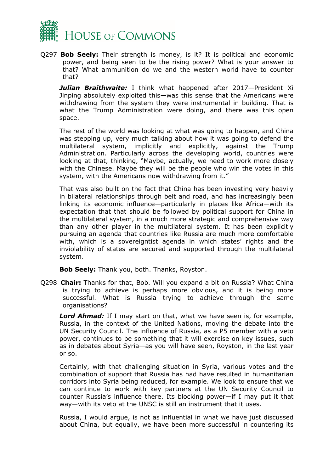

Q297 **Bob Seely:** Their strength is money, is it? It is political and economic power, and being seen to be the rising power? What is your answer to that? What ammunition do we and the western world have to counter that?

*Julian Braithwaite:* I think what happened after 2017—President Xi Jinping absolutely exploited this—was this sense that the Americans were withdrawing from the system they were instrumental in building. That is what the Trump Administration were doing, and there was this open space.

The rest of the world was looking at what was going to happen, and China was stepping up, very much talking about how it was going to defend the multilateral system, implicitly and explicitly, against the Trump Administration. Particularly across the developing world, countries were looking at that, thinking, "Maybe, actually, we need to work more closely with the Chinese. Maybe they will be the people who win the votes in this system, with the Americans now withdrawing from it."

That was also built on the fact that China has been investing very heavily in bilateral relationships through belt and road, and has increasingly been linking its economic influence—particularly in places like Africa—with its expectation that that should be followed by political support for China in the multilateral system, in a much more strategic and comprehensive way than any other player in the multilateral system. It has been explicitly pursuing an agenda that countries like Russia are much more comfortable with, which is a sovereigntist agenda in which states' rights and the inviolability of states are secured and supported through the multilateral system.

**Bob Seely:** Thank you, both. Thanks, Royston.

Q298 **Chair:** Thanks for that, Bob. Will you expand a bit on Russia? What China is trying to achieve is perhaps more obvious, and it is being more successful. What is Russia trying to achieve through the same organisations?

*Lord Ahmad:* If I may start on that, what we have seen is, for example, Russia, in the context of the United Nations, moving the debate into the UN Security Council. The influence of Russia, as a P5 member with a veto power, continues to be something that it will exercise on key issues, such as in debates about Syria—as you will have seen, Royston, in the last year or so.

Certainly, with that challenging situation in Syria, various votes and the combination of support that Russia has had have resulted in humanitarian corridors into Syria being reduced, for example. We look to ensure that we can continue to work with key partners at the UN Security Council to counter Russia's influence there. Its blocking power—if I may put it that way—with its veto at the UNSC is still an instrument that it uses.

Russia, I would argue, is not as influential in what we have just discussed about China, but equally, we have been more successful in countering its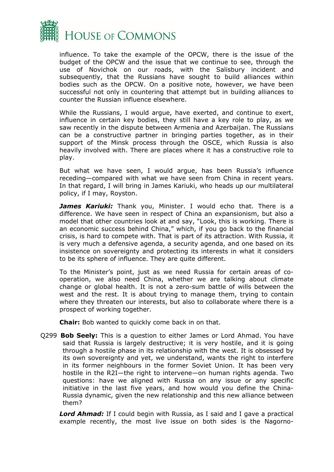

influence. To take the example of the OPCW, there is the issue of the budget of the OPCW and the issue that we continue to see, through the use of Novichok on our roads, with the Salisbury incident and subsequently, that the Russians have sought to build alliances within bodies such as the OPCW. On a positive note, however, we have been successful not only in countering that attempt but in building alliances to counter the Russian influence elsewhere.

While the Russians, I would argue, have exerted, and continue to exert, influence in certain key bodies, they still have a key role to play, as we saw recently in the dispute between Armenia and Azerbaijan. The Russians can be a constructive partner in bringing parties together, as in their support of the Minsk process through the OSCE, which Russia is also heavily involved with. There are places where it has a constructive role to play.

But what we have seen, I would argue, has been Russia's influence receding—compared with what we have seen from China in recent years. In that regard, I will bring in James Kariuki, who heads up our multilateral policy, if I may, Royston.

*James Kariuki:* Thank you, Minister. I would echo that. There is a difference. We have seen in respect of China an expansionism, but also a model that other countries look at and say, "Look, this is working. There is an economic success behind China," which, if you go back to the financial crisis, is hard to compete with. That is part of its attraction. With Russia, it is very much a defensive agenda, a security agenda, and one based on its insistence on sovereignty and protecting its interests in what it considers to be its sphere of influence. They are quite different.

To the Minister's point, just as we need Russia for certain areas of cooperation, we also need China, whether we are talking about climate change or global health. It is not a zero-sum battle of wills between the west and the rest. It is about trying to manage them, trying to contain where they threaten our interests, but also to collaborate where there is a prospect of working together.

**Chair:** Bob wanted to quickly come back in on that.

Q299 **Bob Seely:** This is a question to either James or Lord Ahmad. You have said that Russia is largely destructive; it is very hostile, and it is going through a hostile phase in its relationship with the west. It is obsessed by its own sovereignty and yet, we understand, wants the right to interfere in its former neighbours in the former Soviet Union. It has been very hostile in the R2I—the right to intervene—on human rights agenda. Two questions: have we aligned with Russia on any issue or any specific initiative in the last five years, and how would you define the China-Russia dynamic, given the new relationship and this new alliance between them?

*Lord Ahmad:* If I could begin with Russia, as I said and I gave a practical example recently, the most live issue on both sides is the Nagorno-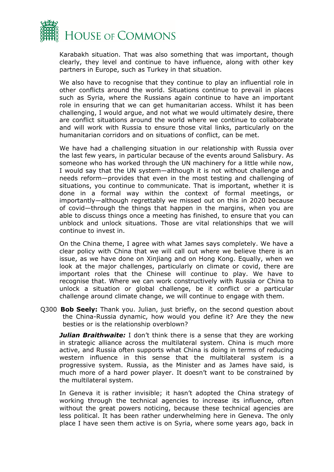

Karabakh situation. That was also something that was important, though clearly, they level and continue to have influence, along with other key partners in Europe, such as Turkey in that situation.

We also have to recognise that they continue to play an influential role in other conflicts around the world. Situations continue to prevail in places such as Syria, where the Russians again continue to have an important role in ensuring that we can get humanitarian access. Whilst it has been challenging, I would argue, and not what we would ultimately desire, there are conflict situations around the world where we continue to collaborate and will work with Russia to ensure those vital links, particularly on the humanitarian corridors and on situations of conflict, can be met.

We have had a challenging situation in our relationship with Russia over the last few years, in particular because of the events around Salisbury. As someone who has worked through the UN machinery for a little while now, I would say that the UN system—although it is not without challenge and needs reform—provides that even in the most testing and challenging of situations, you continue to communicate. That is important, whether it is done in a formal way within the context of formal meetings, or importantly—although regrettably we missed out on this in 2020 because of covid—through the things that happen in the margins, when you are able to discuss things once a meeting has finished, to ensure that you can unblock and unlock situations. Those are vital relationships that we will continue to invest in.

On the China theme, I agree with what James says completely. We have a clear policy with China that we will call out where we believe there is an issue, as we have done on Xinjiang and on Hong Kong. Equally, when we look at the major challenges, particularly on climate or covid, there are important roles that the Chinese will continue to play. We have to recognise that. Where we can work constructively with Russia or China to unlock a situation or global challenge, be it conflict or a particular challenge around climate change, we will continue to engage with them.

Q300 **Bob Seely:** Thank you. Julian, just briefly, on the second question about the China-Russia dynamic, how would you define it? Are they the new besties or is the relationship overblown?

**Julian Braithwaite:** I don't think there is a sense that they are working in strategic alliance across the multilateral system. China is much more active, and Russia often supports what China is doing in terms of reducing western influence in this sense that the multilateral system is a progressive system. Russia, as the Minister and as James have said, is much more of a hard power player. It doesn't want to be constrained by the multilateral system.

In Geneva it is rather invisible; it hasn't adopted the China strategy of working through the technical agencies to increase its influence, often without the great powers noticing, because these technical agencies are less political. It has been rather underwhelming here in Geneva. The only place I have seen them active is on Syria, where some years ago, back in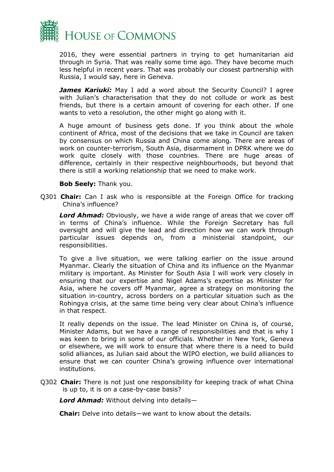

2016, they were essential partners in trying to get humanitarian aid through in Syria. That was really some time ago. They have become much less helpful in recent years. That was probably our closest partnership with Russia, I would say, here in Geneva.

**James Kariuki:** May I add a word about the Security Council? I agree with Julian's characterisation that they do not collude or work as best friends, but there is a certain amount of covering for each other. If one wants to veto a resolution, the other might go along with it.

A huge amount of business gets done. If you think about the whole continent of Africa, most of the decisions that we take in Council are taken by consensus on which Russia and China come along. There are areas of work on counter-terrorism, South Asia, disarmament in DPRK where we do work quite closely with those countries. There are huge areas of difference, certainly in their respective neighbourhoods, but beyond that there is still a working relationship that we need to make work.

#### **Bob Seely:** Thank you.

Q301 **Chair:** Can I ask who is responsible at the Foreign Office for tracking China's influence?

*Lord Ahmad:* Obviously, we have a wide range of areas that we cover off in terms of China's influence. While the Foreign Secretary has full oversight and will give the lead and direction how we can work through particular issues depends on, from a ministerial standpoint, our responsibilities.

To give a live situation, we were talking earlier on the issue around Myanmar. Clearly the situation of China and its influence on the Myanmar military is important. As Minister for South Asia I will work very closely in ensuring that our expertise and Nigel Adams's expertise as Minister for Asia, where he covers off Myanmar, agree a strategy on monitoring the situation in-country, across borders on a particular situation such as the Rohingya crisis, at the same time being very clear about China's influence in that respect.

It really depends on the issue. The lead Minister on China is, of course, Minister Adams, but we have a range of responsibilities and that is why I was keen to bring in some of our officials. Whether in New York, Geneva or elsewhere, we will work to ensure that where there is a need to build solid alliances, as Julian said about the WIPO election, we build alliances to ensure that we can counter China's growing influence over international institutions.

Q302 **Chair:** There is not just one responsibility for keeping track of what China is up to, it is on a case-by-case basis?

*Lord Ahmad:* Without delving into details—

**Chair:** Delve into details—we want to know about the details.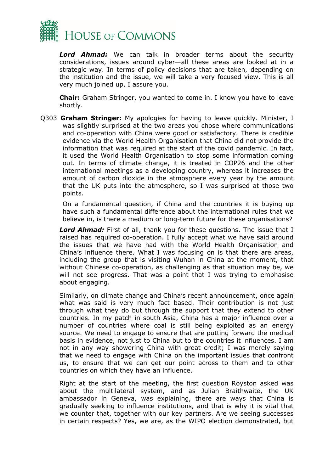

*Lord Ahmad:* We can talk in broader terms about the security considerations, issues around cyber—all these areas are looked at in a strategic way. In terms of policy decisions that are taken, depending on the institution and the issue, we will take a very focused view. This is all very much joined up, I assure you.

**Chair:** Graham Stringer, you wanted to come in. I know you have to leave shortly.

Q303 **Graham Stringer:** My apologies for having to leave quickly. Minister, I was slightly surprised at the two areas you chose where communications and co-operation with China were good or satisfactory. There is credible evidence via the World Health Organisation that China did not provide the information that was required at the start of the covid pandemic. In fact, it used the World Health Organisation to stop some information coming out. In terms of climate change, it is treated in COP26 and the other international meetings as a developing country, whereas it increases the amount of carbon dioxide in the atmosphere every year by the amount that the UK puts into the atmosphere, so I was surprised at those two points.

On a fundamental question, if China and the countries it is buying up have such a fundamental difference about the international rules that we believe in, is there a medium or long-term future for these organisations?

*Lord Ahmad:* First of all, thank you for these questions. The issue that I raised has required co-operation. I fully accept what we have said around the issues that we have had with the World Health Organisation and China's influence there. What I was focusing on is that there are areas, including the group that is visiting Wuhan in China at the moment, that without Chinese co-operation, as challenging as that situation may be, we will not see progress. That was a point that I was trying to emphasise about engaging.

Similarly, on climate change and China's recent announcement, once again what was said is very much fact based. Their contribution is not just through what they do but through the support that they extend to other countries. In my patch in south Asia, China has a major influence over a number of countries where coal is still being exploited as an energy source. We need to engage to ensure that are putting forward the medical basis in evidence, not just to China but to the countries it influences. I am not in any way showering China with great credit; I was merely saying that we need to engage with China on the important issues that confront us, to ensure that we can get our point across to them and to other countries on which they have an influence.

Right at the start of the meeting, the first question Royston asked was about the multilateral system, and as Julian Braithwaite, the UK ambassador in Geneva, was explaining, there are ways that China is gradually seeking to influence institutions, and that is why it is vital that we counter that, together with our key partners. Are we seeing successes in certain respects? Yes, we are, as the WIPO election demonstrated, but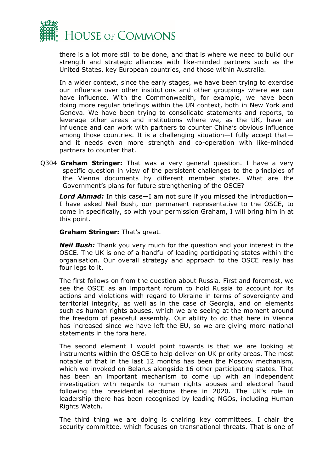

there is a lot more still to be done, and that is where we need to build our strength and strategic alliances with like-minded partners such as the United States, key European countries, and those within Australia.

In a wider context, since the early stages, we have been trying to exercise our influence over other institutions and other groupings where we can have influence. With the Commonwealth, for example, we have been doing more regular briefings within the UN context, both in New York and Geneva. We have been trying to consolidate statements and reports, to leverage other areas and institutions where we, as the UK, have an influence and can work with partners to counter China's obvious influence among those countries. It is a challenging situation—I fully accept that and it needs even more strength and co-operation with like-minded partners to counter that.

Q304 **Graham Stringer:** That was a very general question. I have a very specific question in view of the persistent challenges to the principles of the Vienna documents by different member states. What are the Government's plans for future strengthening of the OSCE?

*Lord Ahmad:* In this case—I am not sure if you missed the introduction— I have asked Neil Bush, our permanent representative to the OSCE, to come in specifically, so with your permission Graham, I will bring him in at this point.

**Graham Stringer:** That's great.

*Neil Bush:* Thank you very much for the question and your interest in the OSCE. The UK is one of a handful of leading participating states within the organisation. Our overall strategy and approach to the OSCE really has four legs to it.

The first follows on from the question about Russia. First and foremost, we see the OSCE as an important forum to hold Russia to account for its actions and violations with regard to Ukraine in terms of sovereignty and territorial integrity, as well as in the case of Georgia, and on elements such as human rights abuses, which we are seeing at the moment around the freedom of peaceful assembly. Our ability to do that here in Vienna has increased since we have left the EU, so we are giving more national statements in the fora here.

The second element I would point towards is that we are looking at instruments within the OSCE to help deliver on UK priority areas. The most notable of that in the last 12 months has been the Moscow mechanism, which we invoked on Belarus alongside 16 other participating states. That has been an important mechanism to come up with an independent investigation with regards to human rights abuses and electoral fraud following the presidential elections there in 2020. The UK's role in leadership there has been recognised by leading NGOs, including Human Rights Watch.

The third thing we are doing is chairing key committees. I chair the security committee, which focuses on transnational threats. That is one of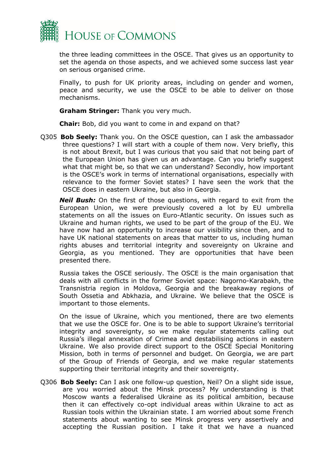

the three leading committees in the OSCE. That gives us an opportunity to set the agenda on those aspects, and we achieved some success last year on serious organised crime.

Finally, to push for UK priority areas, including on gender and women, peace and security, we use the OSCE to be able to deliver on those mechanisms.

**Graham Stringer:** Thank you very much.

**Chair:** Bob, did you want to come in and expand on that?

Q305 **Bob Seely:** Thank you. On the OSCE question, can I ask the ambassador three questions? I will start with a couple of them now. Very briefly, this is not about Brexit, but I was curious that you said that not being part of the European Union has given us an advantage. Can you briefly suggest what that might be, so that we can understand? Secondly, how important is the OSCE's work in terms of international organisations, especially with relevance to the former Soviet states? I have seen the work that the OSCE does in eastern Ukraine, but also in Georgia.

*Neil Bush:* On the first of those questions, with regard to exit from the European Union, we were previously covered a lot by EU umbrella statements on all the issues on Euro-Atlantic security. On issues such as Ukraine and human rights, we used to be part of the group of the EU. We have now had an opportunity to increase our visibility since then, and to have UK national statements on areas that matter to us, including human rights abuses and territorial integrity and sovereignty on Ukraine and Georgia, as you mentioned. They are opportunities that have been presented there.

Russia takes the OSCE seriously. The OSCE is the main organisation that deals with all conflicts in the former Soviet space: Nagorno-Karabakh, the Transnistria region in Moldova, Georgia and the breakaway regions of South Ossetia and Abkhazia, and Ukraine. We believe that the OSCE is important to those elements.

On the issue of Ukraine, which you mentioned, there are two elements that we use the OSCE for. One is to be able to support Ukraine's territorial integrity and sovereignty, so we make regular statements calling out Russia's illegal annexation of Crimea and destabilising actions in eastern Ukraine. We also provide direct support to the OSCE Special Monitoring Mission, both in terms of personnel and budget. On Georgia, we are part of the Group of Friends of Georgia, and we make regular statements supporting their territorial integrity and their sovereignty.

Q306 **Bob Seely:** Can I ask one follow-up question, Neil? On a slight side issue, are you worried about the Minsk process? My understanding is that Moscow wants a federalised Ukraine as its political ambition, because then it can effectively co-opt individual areas within Ukraine to act as Russian tools within the Ukrainian state. I am worried about some French statements about wanting to see Minsk progress very assertively and accepting the Russian position. I take it that we have a nuanced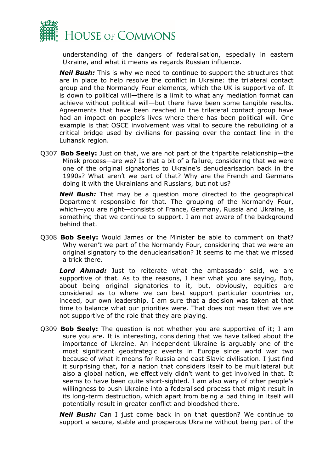

understanding of the dangers of federalisation, especially in eastern Ukraine, and what it means as regards Russian influence.

*Neil Bush:* This is why we need to continue to support the structures that are in place to help resolve the conflict in Ukraine: the trilateral contact group and the Normandy Four elements, which the UK is supportive of. It is down to political will—there is a limit to what any mediation format can achieve without political will—but there have been some tangible results. Agreements that have been reached in the trilateral contact group have had an impact on people's lives where there has been political will. One example is that OSCE involvement was vital to secure the rebuilding of a critical bridge used by civilians for passing over the contact line in the Luhansk region.

Q307 **Bob Seely:** Just on that, we are not part of the tripartite relationship—the Minsk process—are we? Is that a bit of a failure, considering that we were one of the original signatories to Ukraine's denuclearisation back in the 1990s? What aren't we part of that? Why are the French and Germans doing it with the Ukrainians and Russians, but not us?

*Neil Bush:* That may be a question more directed to the geographical Department responsible for that. The grouping of the Normandy Four, which—you are right—consists of France, Germany, Russia and Ukraine, is something that we continue to support. I am not aware of the background behind that.

Q308 **Bob Seely:** Would James or the Minister be able to comment on that? Why weren't we part of the Normandy Four, considering that we were an original signatory to the denuclearisation? It seems to me that we missed a trick there.

*Lord Ahmad:* Just to reiterate what the ambassador said, we are supportive of that. As to the reasons, I hear what you are saying, Bob, about being original signatories to it, but, obviously, equities are considered as to where we can best support particular countries or, indeed, our own leadership. I am sure that a decision was taken at that time to balance what our priorities were. That does not mean that we are not supportive of the role that they are playing.

Q309 **Bob Seely:** The question is not whether you are supportive of it; I am sure you are. It is interesting, considering that we have talked about the importance of Ukraine. An independent Ukraine is arguably one of the most significant geostrategic events in Europe since world war two because of what it means for Russia and east Slavic civilisation. I just find it surprising that, for a nation that considers itself to be multilateral but also a global nation, we effectively didn't want to get involved in that. It seems to have been quite short-sighted. I am also wary of other people's willingness to push Ukraine into a federalised process that might result in its long-term destruction, which apart from being a bad thing in itself will potentially result in greater conflict and bloodshed there.

*Neil Bush:* Can I just come back in on that question? We continue to support a secure, stable and prosperous Ukraine without being part of the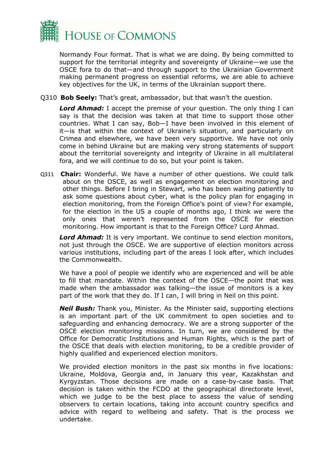

Normandy Four format. That is what we are doing. By being committed to support for the territorial integrity and sovereignty of Ukraine—we use the OSCE fora to do that—and through support to the Ukrainian Government making permanent progress on essential reforms, we are able to achieve key objectives for the UK, in terms of the Ukrainian support there.

Q310 **Bob Seely:** That's great, ambassador, but that wasn't the question.

*Lord Ahmad:* I accept the premise of your question. The only thing I can say is that the decision was taken at that time to support those other countries. What I can say, Bob—I have been involved in this element of it—is that within the context of Ukraine's situation, and particularly on Crimea and elsewhere, we have been very supportive. We have not only come in behind Ukraine but are making very strong statements of support about the territorial sovereignty and integrity of Ukraine in all multilateral fora, and we will continue to do so, but your point is taken.

Q311 **Chair:** Wonderful. We have a number of other questions. We could talk about on the OSCE, as well as engagement on election monitoring and other things. Before I bring in Stewart, who has been waiting patiently to ask some questions about cyber, what is the policy plan for engaging in election monitoring, from the Foreign Office's point of view? For example, for the election in the US a couple of months ago, I think we were the only ones that weren't represented from the OSCE for election monitoring. How important is that to the Foreign Office? Lord Ahmad.

*Lord Ahmad:* It is very important. We continue to send election monitors, not just through the OSCE. We are supportive of election monitors across various institutions, including part of the areas I look after, which includes the Commonwealth.

We have a pool of people we identify who are experienced and will be able to fill that mandate. Within the context of the OSCE—the point that was made when the ambassador was talking—the issue of monitors is a key part of the work that they do. If I can, I will bring in Neil on this point.

*Neil Bush:* Thank you, Minister. As the Minister said, supporting elections is an important part of the UK commitment to open societies and to safeguarding and enhancing democracy. We are a strong supporter of the OSCE election monitoring missions. In turn, we are considered by the Office for Democratic Institutions and Human Rights, which is the part of the OSCE that deals with election monitoring, to be a credible provider of highly qualified and experienced election monitors.

We provided election monitors in the past six months in five locations: Ukraine, Moldova, Georgia and, in January this year, Kazakhstan and Kyrgyzstan. Those decisions are made on a case-by-case basis. That decision is taken within the FCDO at the geographical directorate level, which we judge to be the best place to assess the value of sending observers to certain locations, taking into account country specifics and advice with regard to wellbeing and safety. That is the process we undertake.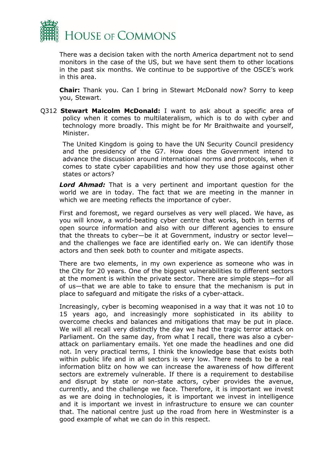

There was a decision taken with the north America department not to send monitors in the case of the US, but we have sent them to other locations in the past six months. We continue to be supportive of the OSCE's work in this area.

**Chair:** Thank you. Can I bring in Stewart McDonald now? Sorry to keep you, Stewart.

Q312 **Stewart Malcolm McDonald:** I want to ask about a specific area of policy when it comes to multilateralism, which is to do with cyber and technology more broadly. This might be for Mr Braithwaite and yourself, Minister.

The United Kingdom is going to have the UN Security Council presidency and the presidency of the G7. How does the Government intend to advance the discussion around international norms and protocols, when it comes to state cyber capabilities and how they use those against other states or actors?

*Lord Ahmad:* That is a very pertinent and important question for the world we are in today. The fact that we are meeting in the manner in which we are meeting reflects the importance of cyber.

First and foremost, we regard ourselves as very well placed. We have, as you will know, a world-beating cyber centre that works, both in terms of open source information and also with our different agencies to ensure that the threats to cyber—be it at Government, industry or sector level and the challenges we face are identified early on. We can identify those actors and then seek both to counter and mitigate aspects.

There are two elements, in my own experience as someone who was in the City for 20 years. One of the biggest vulnerabilities to different sectors at the moment is within the private sector. There are simple steps—for all of us—that we are able to take to ensure that the mechanism is put in place to safeguard and mitigate the risks of a cyber-attack.

Increasingly, cyber is becoming weaponised in a way that it was not 10 to 15 years ago, and increasingly more sophisticated in its ability to overcome checks and balances and mitigations that may be put in place. We will all recall very distinctly the day we had the tragic terror attack on Parliament. On the same day, from what I recall, there was also a cyberattack on parliamentary emails. Yet one made the headlines and one did not. In very practical terms, I think the knowledge base that exists both within public life and in all sectors is very low. There needs to be a real information blitz on how we can increase the awareness of how different sectors are extremely vulnerable. If there is a requirement to destabilise and disrupt by state or non-state actors, cyber provides the avenue, currently, and the challenge we face. Therefore, it is important we invest as we are doing in technologies, it is important we invest in intelligence and it is important we invest in infrastructure to ensure we can counter that. The national centre just up the road from here in Westminster is a good example of what we can do in this respect.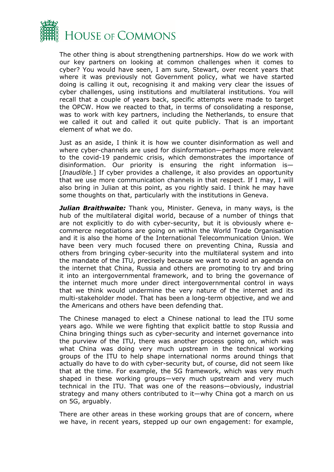

The other thing is about strengthening partnerships. How do we work with our key partners on looking at common challenges when it comes to cyber? You would have seen, I am sure, Stewart, over recent years that where it was previously not Government policy, what we have started doing is calling it out, recognising it and making very clear the issues of cyber challenges, using institutions and multilateral institutions. You will recall that a couple of years back, specific attempts were made to target the OPCW. How we reacted to that, in terms of consolidating a response, was to work with key partners, including the Netherlands, to ensure that we called it out and called it out quite publicly. That is an important element of what we do.

Just as an aside, I think it is how we counter disinformation as well and where cyber-channels are used for disinformation—perhaps more relevant to the covid-19 pandemic crisis, which demonstrates the importance of disinformation. Our priority is ensuring the right information is— [*Inaudible.*] If cyber provides a challenge, it also provides an opportunity that we use more communication channels in that respect. If I may, I will also bring in Julian at this point, as you rightly said. I think he may have some thoughts on that, particularly with the institutions in Geneva.

*Julian Braithwaite:* Thank you, Minister. Geneva, in many ways, is the hub of the multilateral digital world, because of a number of things that are not explicitly to do with cyber-security, but it is obviously where ecommerce negotiations are going on within the World Trade Organisation and it is also the home of the International Telecommunication Union. We have been very much focused there on preventing China, Russia and others from bringing cyber-security into the multilateral system and into the mandate of the ITU, precisely because we want to avoid an agenda on the internet that China, Russia and others are promoting to try and bring it into an intergovernmental framework, and to bring the governance of the internet much more under direct intergovernmental control in ways that we think would undermine the very nature of the internet and its multi-stakeholder model. That has been a long-term objective, and we and the Americans and others have been defending that.

The Chinese managed to elect a Chinese national to lead the ITU some years ago. While we were fighting that explicit battle to stop Russia and China bringing things such as cyber-security and internet governance into the purview of the ITU, there was another process going on, which was what China was doing very much upstream in the technical working groups of the ITU to help shape international norms around things that actually do have to do with cyber-security but, of course, did not seem like that at the time. For example, the 5G framework, which was very much shaped in these working groups—very much upstream and very much technical in the ITU. That was one of the reasons—obviously, industrial strategy and many others contributed to it—why China got a march on us on 5G, arguably.

There are other areas in these working groups that are of concern, where we have, in recent years, stepped up our own engagement: for example,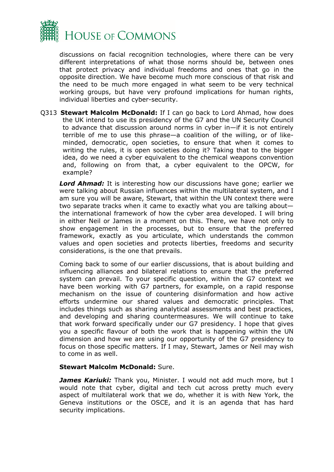

discussions on facial recognition technologies, where there can be very different interpretations of what those norms should be, between ones that protect privacy and individual freedoms and ones that go in the opposite direction. We have become much more conscious of that risk and the need to be much more engaged in what seem to be very technical working groups, but have very profound implications for human rights, individual liberties and cyber-security.

Q313 **Stewart Malcolm McDonald:** If I can go back to Lord Ahmad, how does the UK intend to use its presidency of the G7 and the UN Security Council to advance that discussion around norms in cyber in—if it is not entirely terrible of me to use this phrase—a coalition of the willing, or of likeminded, democratic, open societies, to ensure that when it comes to writing the rules, it is open societies doing it? Taking that to the bigger idea, do we need a cyber equivalent to the chemical weapons convention and, following on from that, a cyber equivalent to the OPCW, for example?

*Lord Ahmad:* It is interesting how our discussions have gone; earlier we were talking about Russian influences within the multilateral system, and I am sure you will be aware, Stewart, that within the UN context there were two separate tracks when it came to exactly what you are talking about the international framework of how the cyber area developed. I will bring in either Neil or James in a moment on this. There, we have not only to show engagement in the processes, but to ensure that the preferred framework, exactly as you articulate, which understands the common values and open societies and protects liberties, freedoms and security considerations, is the one that prevails.

Coming back to some of our earlier discussions, that is about building and influencing alliances and bilateral relations to ensure that the preferred system can prevail. To your specific question, within the G7 context we have been working with G7 partners, for example, on a rapid response mechanism on the issue of countering disinformation and how active efforts undermine our shared values and democratic principles. That includes things such as sharing analytical assessments and best practices, and developing and sharing countermeasures. We will continue to take that work forward specifically under our G7 presidency. I hope that gives you a specific flavour of both the work that is happening within the UN dimension and how we are using our opportunity of the G7 presidency to focus on those specific matters. If I may, Stewart, James or Neil may wish to come in as well.

#### **Stewart Malcolm McDonald:** Sure.

*James Kariuki:* Thank you, Minister. I would not add much more, but I would note that cyber, digital and tech cut across pretty much every aspect of multilateral work that we do, whether it is with New York, the Geneva institutions or the OSCE, and it is an agenda that has hard security implications.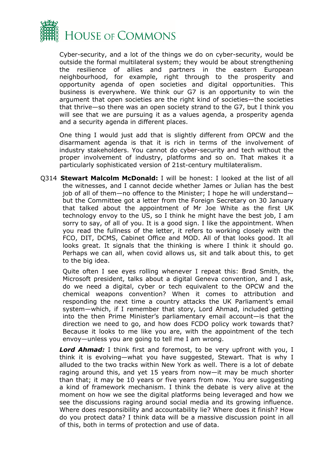

Cyber-security, and a lot of the things we do on cyber-security, would be outside the formal multilateral system; they would be about strengthening the resilience of allies and partners in the eastern European neighbourhood, for example, right through to the prosperity and opportunity agenda of open societies and digital opportunities. This business is everywhere. We think our G7 is an opportunity to win the argument that open societies are the right kind of societies—the societies that thrive—so there was an open society strand to the G7, but I think you will see that we are pursuing it as a values agenda, a prosperity agenda and a security agenda in different places.

One thing I would just add that is slightly different from OPCW and the disarmament agenda is that it is rich in terms of the involvement of industry stakeholders. You cannot do cyber-security and tech without the proper involvement of industry, platforms and so on. That makes it a particularly sophisticated version of 21st-century multilateralism.

Q314 **Stewart Malcolm McDonald:** I will be honest: I looked at the list of all the witnesses, and I cannot decide whether James or Julian has the best job of all of them—no offence to the Minister; I hope he will understand but the Committee got a letter from the Foreign Secretary on 30 January that talked about the appointment of Mr Joe White as the first UK technology envoy to the US, so I think he might have the best job, I am sorry to say, of all of you. It is a good sign. I like the appointment. When you read the fullness of the letter, it refers to working closely with the FCO, DIT, DCMS, Cabinet Office and MOD. All of that looks good. It all looks great. It signals that the thinking is where I think it should go. Perhaps we can all, when covid allows us, sit and talk about this, to get to the big idea.

Quite often I see eyes rolling whenever I repeat this: Brad Smith, the Microsoft president, talks about a digital Geneva convention, and I ask, do we need a digital, cyber or tech equivalent to the OPCW and the chemical weapons convention? When it comes to attribution and responding the next time a country attacks the UK Parliament's email system—which, if I remember that story, Lord Ahmad, included getting into the then Prime Minister's parliamentary email account—is that the direction we need to go, and how does FCDO policy work towards that? Because it looks to me like you are, with the appointment of the tech envoy—unless you are going to tell me I am wrong.

*Lord Ahmad:* I think first and foremost, to be very upfront with you, I think it is evolving—what you have suggested, Stewart. That is why I alluded to the two tracks within New York as well. There is a lot of debate raging around this, and yet 15 years from now—it may be much shorter than that; it may be 10 years or five years from now. You are suggesting a kind of framework mechanism. I think the debate is very alive at the moment on how we see the digital platforms being leveraged and how we see the discussions raging around social media and its growing influence. Where does responsibility and accountability lie? Where does it finish? How do you protect data? I think data will be a massive discussion point in all of this, both in terms of protection and use of data.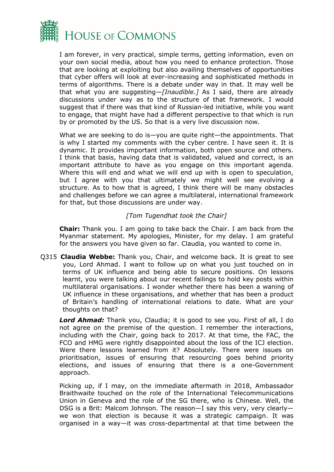

I am forever, in very practical, simple terms, getting information, even on your own social media, about how you need to enhance protection. Those that are looking at exploiting but also availing themselves of opportunities that cyber offers will look at ever-increasing and sophisticated methods in terms of algorithms. There is a debate under way in that. It may well be that what you are suggesting—*[Inaudible.]* As I said, there are already discussions under way as to the structure of that framework. I would suggest that if there was that kind of Russian-led initiative, while you want to engage, that might have had a different perspective to that which is run by or promoted by the US. So that is a very live discussion now.

What we are seeking to do is—you are quite right—the appointments. That is why I started my comments with the cyber centre. I have seen it. It is dynamic. It provides important information, both open source and others. I think that basis, having data that is validated, valued and correct, is an important attribute to have as you engage on this important agenda. Where this will end and what we will end up with is open to speculation, but I agree with you that ultimately we might well see evolving a structure. As to how that is agreed, I think there will be many obstacles and challenges before we can agree a multilateral, international framework for that, but those discussions are under way.

#### *[Tom Tugendhat took the Chair]*

**Chair:** Thank you. I am going to take back the Chair. I am back from the Myanmar statement. My apologies, Minister, for my delay. I am grateful for the answers you have given so far. Claudia, you wanted to come in.

Q315 **Claudia Webbe:** Thank you, Chair, and welcome back. It is great to see you, Lord Ahmad. I want to follow up on what you just touched on in terms of UK influence and being able to secure positions. On lessons learnt, you were talking about our recent failings to hold key posts within multilateral organisations. I wonder whether there has been a waning of UK influence in these organisations, and whether that has been a product of Britain's handling of international relations to date. What are your thoughts on that?

*Lord Ahmad:* Thank you, Claudia; it is good to see you. First of all, I do not agree on the premise of the question. I remember the interactions, including with the Chair, going back to 2017. At that time, the FAC, the FCO and HMG were rightly disappointed about the loss of the ICJ election. Were there lessons learned from it? Absolutely. There were issues on prioritisation, issues of ensuring that resourcing goes behind priority elections, and issues of ensuring that there is a one-Government approach.

Picking up, if I may, on the immediate aftermath in 2018, Ambassador Braithwaite touched on the role of the International Telecommunications Union in Geneva and the role of the SG there, who is Chinese. Well, the DSG is a Brit: Malcom Johnson. The reason—I say this very, very clearly we won that election is because it was a strategic campaign. It was organised in a way—it was cross-departmental at that time between the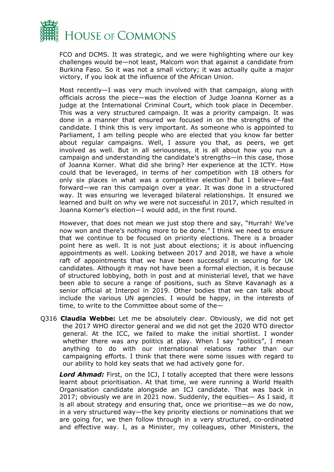

FCO and DCMS. It was strategic, and we were highlighting where our key challenges would be—not least, Malcom won that against a candidate from Burkina Faso. So it was not a small victory; it was actually quite a major victory, if you look at the influence of the African Union.

Most recently—I was very much involved with that campaign, along with officials across the piece—was the election of Judge Joanna Korner as a judge at the International Criminal Court, which took place in December. This was a very structured campaign. It was a priority campaign. It was done in a manner that ensured we focused in on the strengths of the candidate. I think this is very important. As someone who is appointed to Parliament, I am telling people who are elected that you know far better about regular campaigns. Well, I assure you that, as peers, we get involved as well. But in all seriousness, it is all about how you run a campaign and understanding the candidate's strengths—in this case, those of Joanna Korner. What did she bring? Her experience at the ICTY. How could that be leveraged, in terms of her competition with 18 others for only six places in what was a competitive election? But I believe—fast forward—we ran this campaign over a year. It was done in a structured way. It was ensuring we leveraged bilateral relationships. It ensured we learned and built on why we were not successful in 2017, which resulted in Joanna Korner's election—I would add, in the first round.

However, that does not mean we just stop there and say, "Hurrah! We've now won and there's nothing more to be done." I think we need to ensure that we continue to be focused on priority elections. There is a broader point here as well. It is not just about elections; it is about influencing appointments as well. Looking between 2017 and 2018, we have a whole raft of appointments that we have been successful in securing for UK candidates. Although it may not have been a formal election, it is because of structured lobbying, both in post and at ministerial level, that we have been able to secure a range of positions, such as Steve Kavanagh as a senior official at Interpol in 2019. Other bodies that we can talk about include the various UN agencies. I would be happy, in the interests of time, to write to the Committee about some of the—

Q316 **Claudia Webbe:** Let me be absolutely clear. Obviously, we did not get the 2017 WHO director general and we did not get the 2020 WTO director general. At the ICC, we failed to make the initial shortlist. I wonder whether there was any politics at play. When I say "politics", I mean anything to do with our international relations rather than our campaigning efforts. I think that there were some issues with regard to our ability to hold key seats that we had actively gone for.

*Lord Ahmad:* First, on the ICJ, I totally accepted that there were lessons learnt about prioritisation. At that time, we were running a World Health Organisation candidate alongside an ICJ candidate. That was back in 2017; obviously we are in 2021 now. Suddenly, the equities— As I said, it is all about strategy and ensuring that, once we prioritise—as we do now, in a very structured way—the key priority elections or nominations that we are going for, we then follow through in a very structured, co-ordinated and effective way. I, as a Minister, my colleagues, other Ministers, the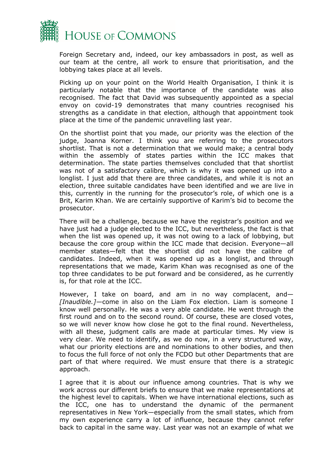

Foreign Secretary and, indeed, our key ambassadors in post, as well as our team at the centre, all work to ensure that prioritisation, and the lobbying takes place at all levels.

Picking up on your point on the World Health Organisation, I think it is particularly notable that the importance of the candidate was also recognised. The fact that David was subsequently appointed as a special envoy on covid-19 demonstrates that many countries recognised his strengths as a candidate in that election, although that appointment took place at the time of the pandemic unravelling last year.

On the shortlist point that you made, our priority was the election of the judge, Joanna Korner. I think you are referring to the prosecutors shortlist. That is not a determination that we would make; a central body within the assembly of states parties within the ICC makes that determination. The state parties themselves concluded that that shortlist was not of a satisfactory calibre, which is why it was opened up into a longlist. I just add that there are three candidates, and while it is not an election, three suitable candidates have been identified and we are live in this, currently in the running for the prosecutor's role, of which one is a Brit, Karim Khan. We are certainly supportive of Karim's bid to become the prosecutor.

There will be a challenge, because we have the registrar's position and we have just had a judge elected to the ICC, but nevertheless, the fact is that when the list was opened up, it was not owing to a lack of lobbying, but because the core group within the ICC made that decision. Everyone—all member states—felt that the shortlist did not have the calibre of candidates. Indeed, when it was opened up as a longlist, and through representations that we made, Karim Khan was recognised as one of the top three candidates to be put forward and be considered, as he currently is, for that role at the ICC.

However, I take on board, and am in no way complacent, and— *[Inaudible.]—*come in also on the Liam Fox election. Liam is someone I know well personally. He was a very able candidate. He went through the first round and on to the second round. Of course, these are closed votes, so we will never know how close he got to the final round. Nevertheless, with all these, judgment calls are made at particular times. My view is very clear. We need to identify, as we do now, in a very structured way, what our priority elections are and nominations to other bodies, and then to focus the full force of not only the FCDO but other Departments that are part of that where required. We must ensure that there is a strategic approach.

I agree that it is about our influence among countries. That is why we work across our different briefs to ensure that we make representations at the highest level to capitals. When we have international elections, such as the ICC, one has to understand the dynamic of the permanent representatives in New York—especially from the small states, which from my own experience carry a lot of influence, because they cannot refer back to capital in the same way. Last year was not an example of what we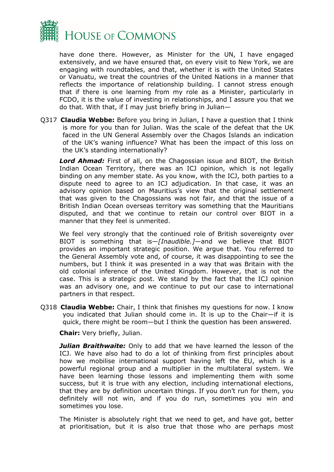

have done there. However, as Minister for the UN, I have engaged extensively, and we have ensured that, on every visit to New York, we are engaging with roundtables, and that, whether it is with the United States or Vanuatu, we treat the countries of the United Nations in a manner that reflects the importance of relationship building. I cannot stress enough that if there is one learning from my role as a Minister, particularly in FCDO, it is the value of investing in relationships, and I assure you that we do that. With that, if I may just briefly bring in Julian—

Q317 **Claudia Webbe:** Before you bring in Julian, I have a question that I think is more for you than for Julian. Was the scale of the defeat that the UK faced in the UN General Assembly over the Chagos Islands an indication of the UK's waning influence? What has been the impact of this loss on the UK's standing internationally?

*Lord Ahmad:* First of all, on the Chagossian issue and BIOT, the British Indian Ocean Territory, there was an ICJ opinion, which is not legally binding on any member state. As you know, with the ICJ, both parties to a dispute need to agree to an ICJ adjudication. In that case, it was an advisory opinion based on Mauritius's view that the original settlement that was given to the Chagossians was not fair, and that the issue of a British Indian Ocean overseas territory was something that the Mauritians disputed, and that we continue to retain our control over BIOT in a manner that they feel is unmerited.

We feel very strongly that the continued role of British sovereignty over BIOT is something that is—*[Inaudible.]*—and we believe that BIOT provides an important strategic position. We argue that. You referred to the General Assembly vote and, of course, it was disappointing to see the numbers, but I think it was presented in a way that was Britain with the old colonial inference of the United Kingdom. However, that is not the case. This is a strategic post. We stand by the fact that the ICJ opinion was an advisory one, and we continue to put our case to international partners in that respect.

Q318 **Claudia Webbe:** Chair, I think that finishes my questions for now. I know you indicated that Julian should come in. It is up to the Chair—if it is quick, there might be room—but I think the question has been answered.

**Chair:** Very briefly, Julian.

*Julian Braithwaite:* Only to add that we have learned the lesson of the ICJ. We have also had to do a lot of thinking from first principles about how we mobilise international support having left the EU, which is a powerful regional group and a multiplier in the multilateral system. We have been learning those lessons and implementing them with some success, but it is true with any election, including international elections, that they are by definition uncertain things. If you don't run for them, you definitely will not win, and if you do run, sometimes you win and sometimes you lose.

The Minister is absolutely right that we need to get, and have got, better at prioritisation, but it is also true that those who are perhaps most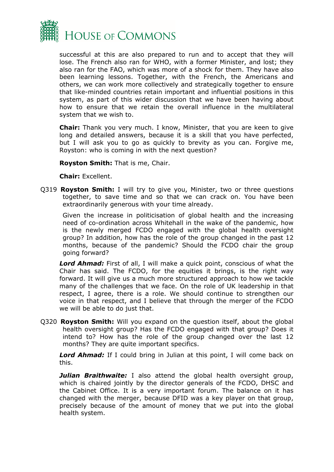

successful at this are also prepared to run and to accept that they will lose. The French also ran for WHO, with a former Minister, and lost; they also ran for the FAO, which was more of a shock for them. They have also been learning lessons. Together, with the French, the Americans and others, we can work more collectively and strategically together to ensure that like-minded countries retain important and influential positions in this system, as part of this wider discussion that we have been having about how to ensure that we retain the overall influence in the multilateral system that we wish to.

**Chair:** Thank you very much. I know, Minister, that you are keen to give long and detailed answers, because it is a skill that you have perfected, but I will ask you to go as quickly to brevity as you can. Forgive me, Royston: who is coming in with the next question?

**Royston Smith:** That is me, Chair.

#### **Chair:** Excellent.

Q319 **Royston Smith:** I will try to give you, Minister, two or three questions together, to save time and so that we can crack on. You have been extraordinarily generous with your time already.

Given the increase in politicisation of global health and the increasing need of co-ordination across Whitehall in the wake of the pandemic, how is the newly merged FCDO engaged with the global health oversight group? In addition, how has the role of the group changed in the past 12 months, because of the pandemic? Should the FCDO chair the group going forward?

*Lord Ahmad:* First of all, I will make a quick point, conscious of what the Chair has said. The FCDO, for the equities it brings, is the right way forward. It will give us a much more structured approach to how we tackle many of the challenges that we face. On the role of UK leadership in that respect, I agree, there is a role. We should continue to strengthen our voice in that respect, and I believe that through the merger of the FCDO we will be able to do just that.

Q320 **Royston Smith:** Will you expand on the question itself, about the global health oversight group? Has the FCDO engaged with that group? Does it intend to? How has the role of the group changed over the last 12 months? They are quite important specifics.

*Lord Ahmad:* If I could bring in Julian at this point, I will come back on this.

**Julian Braithwaite:** I also attend the global health oversight group, which is chaired jointly by the director generals of the FCDO, DHSC and the Cabinet Office. It is a very important forum. The balance on it has changed with the merger, because DFID was a key player on that group, precisely because of the amount of money that we put into the global health system.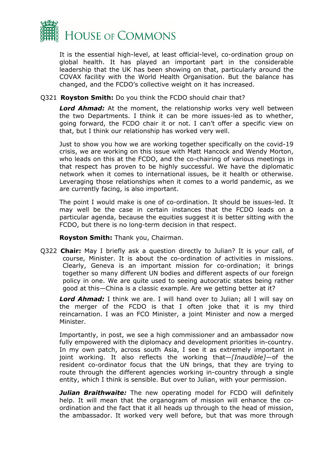

It is the essential high-level, at least official-level, co-ordination group on global health. It has played an important part in the considerable leadership that the UK has been showing on that, particularly around the COVAX facility with the World Health Organisation. But the balance has changed, and the FCDO's collective weight on it has increased.

#### Q321 **Royston Smith:** Do you think the FCDO should chair that?

*Lord Ahmad:* At the moment, the relationship works very well between the two Departments. I think it can be more issues-led as to whether, going forward, the FCDO chair it or not. I can't offer a specific view on that, but I think our relationship has worked very well.

Just to show you how we are working together specifically on the covid-19 crisis, we are working on this issue with Matt Hancock and Wendy Morton, who leads on this at the FCDO, and the co-chairing of various meetings in that respect has proven to be highly successful. We have the diplomatic network when it comes to international issues, be it health or otherwise. Leveraging those relationships when it comes to a world pandemic, as we are currently facing, is also important.

The point I would make is one of co-ordination. It should be issues-led. It may well be the case in certain instances that the FCDO leads on a particular agenda, because the equities suggest it is better sitting with the FCDO, but there is no long-term decision in that respect.

**Royston Smith:** Thank you, Chairman.

Q322 **Chair:** May I briefly ask a question directly to Julian? It is your call, of course, Minister. It is about the co-ordination of activities in missions. Clearly, Geneva is an important mission for co-ordination; it brings together so many different UN bodies and different aspects of our foreign policy in one. We are quite used to seeing autocratic states being rather good at this—China is a classic example. Are we getting better at it?

*Lord Ahmad:* I think we are. I will hand over to Julian; all I will say on the merger of the FCDO is that I often joke that it is my third reincarnation. I was an FCO Minister, a joint Minister and now a merged Minister.

Importantly, in post, we see a high commissioner and an ambassador now fully empowered with the diplomacy and development priorities in-country. In my own patch, across south Asia, I see it as extremely important in joint working. It also reflects the working that—*[Inaudible]*—of the resident co-ordinator focus that the UN brings, that they are trying to route through the different agencies working in-country through a single entity, which I think is sensible. But over to Julian, with your permission.

*Julian Braithwaite:* The new operating model for FCDO will definitely help. It will mean that the organogram of mission will enhance the coordination and the fact that it all heads up through to the head of mission, the ambassador. It worked very well before, but that was more through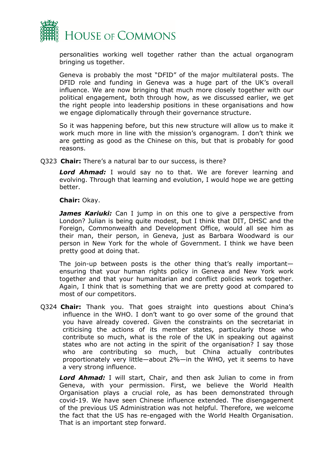

personalities working well together rather than the actual organogram bringing us together.

Geneva is probably the most "DFID" of the major multilateral posts. The DFID role and funding in Geneva was a huge part of the UK's overall influence. We are now bringing that much more closely together with our political engagement, both through how, as we discussed earlier, we get the right people into leadership positions in these organisations and how we engage diplomatically through their governance structure.

So it was happening before, but this new structure will allow us to make it work much more in line with the mission's organogram. I don't think we are getting as good as the Chinese on this, but that is probably for good reasons.

Q323 **Chair:** There's a natural bar to our success, is there?

*Lord Ahmad:* I would say no to that. We are forever learning and evolving. Through that learning and evolution, I would hope we are getting better.

**Chair:** Okay.

*James Kariuki:* Can I jump in on this one to give a perspective from London? Julian is being quite modest, but I think that DIT, DHSC and the Foreign, Commonwealth and Development Office, would all see him as their man, their person, in Geneva, just as Barbara Woodward is our person in New York for the whole of Government. I think we have been pretty good at doing that.

The join-up between posts is the other thing that's really importantensuring that your human rights policy in Geneva and New York work together and that your humanitarian and conflict policies work together. Again, I think that is something that we are pretty good at compared to most of our competitors.

Q324 **Chair:** Thank you. That goes straight into questions about China's influence in the WHO. I don't want to go over some of the ground that you have already covered. Given the constraints on the secretariat in criticising the actions of its member states, particularly those who contribute so much, what is the role of the UK in speaking out against states who are not acting in the spirit of the organisation? I say those who are contributing so much, but China actually contributes proportionately very little—about 2%—in the WHO, yet it seems to have a very strong influence.

*Lord Ahmad:* I will start, Chair, and then ask Julian to come in from Geneva, with your permission. First, we believe the World Health Organisation plays a crucial role, as has been demonstrated through covid-19. We have seen Chinese influence extended. The disengagement of the previous US Administration was not helpful. Therefore, we welcome the fact that the US has re-engaged with the World Health Organisation. That is an important step forward.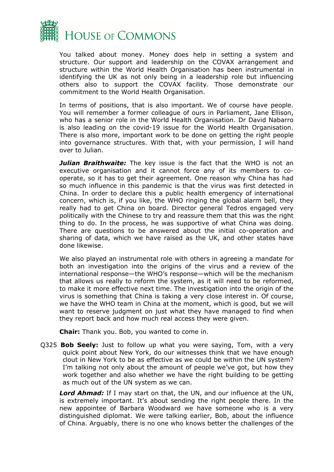

You talked about money. Money does help in setting a system and structure. Our support and leadership on the COVAX arrangement and structure within the World Health Organisation has been instrumental in identifying the UK as not only being in a leadership role but influencing others also to support the COVAX facility. Those demonstrate our commitment to the World Health Organisation.

In terms of positions, that is also important. We of course have people. You will remember a former colleague of ours in Parliament, Jane Ellison, who has a senior role in the World Health Organisation. Dr David Nabarro is also leading on the covid-19 issue for the World Health Organisation. There is also more, important work to be done on getting the right people into governance structures. With that, with your permission, I will hand over to Julian.

**Julian Braithwaite:** The key issue is the fact that the WHO is not an executive organisation and it cannot force any of its members to cooperate, so it has to get their agreement. One reason why China has had so much influence in this pandemic is that the virus was first detected in China. In order to declare this a public health emergency of international concern, which is, if you like, the WHO ringing the global alarm bell, they really had to get China on board. Director general Tedros engaged very politically with the Chinese to try and reassure them that this was the right thing to do. In the process, he was supportive of what China was doing. There are questions to be answered about the initial co-operation and sharing of data, which we have raised as the UK, and other states have done likewise.

We also played an instrumental role with others in agreeing a mandate for both an investigation into the origins of the virus and a review of the international response—the WHO's response—which will be the mechanism that allows us really to reform the system, as it will need to be reformed, to make it more effective next time. The investigation into the origin of the virus is something that China is taking a very close interest in. Of course, we have the WHO team in China at the moment, which is good, but we will want to reserve judgment on just what they have managed to find when they report back and how much real access they were given.

**Chair:** Thank you. Bob, you wanted to come in.

Q325 **Bob Seely:** Just to follow up what you were saying, Tom, with a very quick point about New York, do our witnesses think that we have enough clout in New York to be as effective as we could be within the UN system? I'm talking not only about the amount of people we've got, but how they work together and also whether we have the right building to be getting as much out of the UN system as we can.

*Lord Ahmad:* If I may start on that, the UN, and our influence at the UN, is extremely important. It's about sending the right people there. In the new appointee of Barbara Woodward we have someone who is a very distinguished diplomat. We were talking earlier, Bob, about the influence of China. Arguably, there is no one who knows better the challenges of the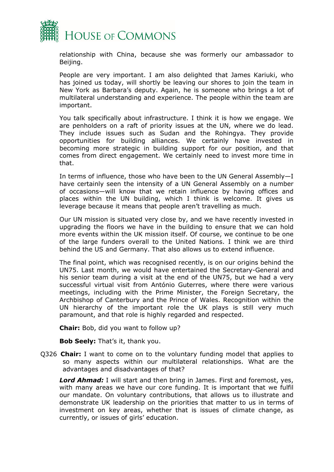

relationship with China, because she was formerly our ambassador to Beijing.

People are very important. I am also delighted that James Kariuki, who has joined us today, will shortly be leaving our shores to join the team in New York as Barbara's deputy. Again, he is someone who brings a lot of multilateral understanding and experience. The people within the team are important.

You talk specifically about infrastructure. I think it is how we engage. We are penholders on a raft of priority issues at the UN, where we do lead. They include issues such as Sudan and the Rohingya. They provide opportunities for building alliances. We certainly have invested in becoming more strategic in building support for our position, and that comes from direct engagement. We certainly need to invest more time in that.

In terms of influence, those who have been to the UN General Assembly—I have certainly seen the intensity of a UN General Assembly on a number of occasions—will know that we retain influence by having offices and places within the UN building, which I think is welcome. It gives us leverage because it means that people aren't travelling as much.

Our UN mission is situated very close by, and we have recently invested in upgrading the floors we have in the building to ensure that we can hold more events within the UK mission itself. Of course, we continue to be one of the large funders overall to the United Nations. I think we are third behind the US and Germany. That also allows us to extend influence.

The final point, which was recognised recently, is on our origins behind the UN75. Last month, we would have entertained the Secretary-General and his senior team during a visit at the end of the UN75, but we had a very successful virtual visit from António Guterres, where there were various meetings, including with the Prime Minister, the Foreign Secretary, the Archbishop of Canterbury and the Prince of Wales. Recognition within the UN hierarchy of the important role the UK plays is still very much paramount, and that role is highly regarded and respected.

**Chair:** Bob, did you want to follow up?

**Bob Seely:** That's it, thank you.

Q326 **Chair:** I want to come on to the voluntary funding model that applies to so many aspects within our multilateral relationships. What are the advantages and disadvantages of that?

*Lord Ahmad:* I will start and then bring in James. First and foremost, yes, with many areas we have our core funding. It is important that we fulfil our mandate. On voluntary contributions, that allows us to illustrate and demonstrate UK leadership on the priorities that matter to us in terms of investment on key areas, whether that is issues of climate change, as currently, or issues of girls' education.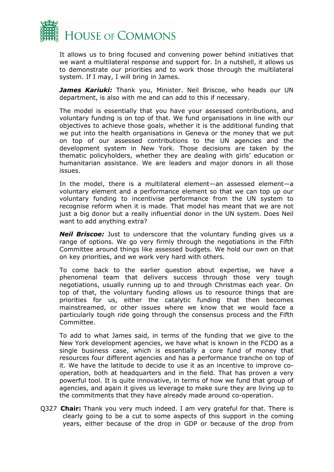

It allows us to bring focused and convening power behind initiatives that we want a multilateral response and support for. In a nutshell, it allows us to demonstrate our priorities and to work those through the multilateral system. If I may, I will bring in James.

*James Kariuki:* Thank you, Minister. Neil Briscoe, who heads our UN department, is also with me and can add to this if necessary.

The model is essentially that you have your assessed contributions, and voluntary funding is on top of that. We fund organisations in line with our objectives to achieve those goals, whether it is the additional funding that we put into the health organisations in Geneva or the money that we put on top of our assessed contributions to the UN agencies and the development system in New York. Those decisions are taken by the thematic policyholders, whether they are dealing with girls' education or humanitarian assistance. We are leaders and major donors in all those issues.

In the model, there is a multilateral element—an assessed element—a voluntary element and a performance element so that we can top up our voluntary funding to incentivise performance from the UN system to recognise reform when it is made. That model has meant that we are not just a big donor but a really influential donor in the UN system. Does Neil want to add anything extra?

*Neil Briscoe:* Just to underscore that the voluntary funding gives us a range of options. We go very firmly through the negotiations in the Fifth Committee around things like assessed budgets. We hold our own on that on key priorities, and we work very hard with others.

To come back to the earlier question about expertise, we have a phenomenal team that delivers success through those very tough negotiations, usually running up to and through Christmas each year. On top of that, the voluntary funding allows us to resource things that are priorities for us, either the catalytic funding that then becomes mainstreamed, or other issues where we know that we would face a particularly tough ride going through the consensus process and the Fifth Committee.

To add to what James said, in terms of the funding that we give to the New York development agencies, we have what is known in the FCDO as a single business case, which is essentially a core fund of money that resources four different agencies and has a performance tranche on top of it. We have the latitude to decide to use it as an incentive to improve cooperation, both at headquarters and in the field. That has proven a very powerful tool. It is quite innovative, in terms of how we fund that group of agencies, and again it gives us leverage to make sure they are living up to the commitments that they have already made around co-operation.

Q327 **Chair:** Thank you very much indeed. I am very grateful for that. There is clearly going to be a cut to some aspects of this support in the coming years, either because of the drop in GDP or because of the drop from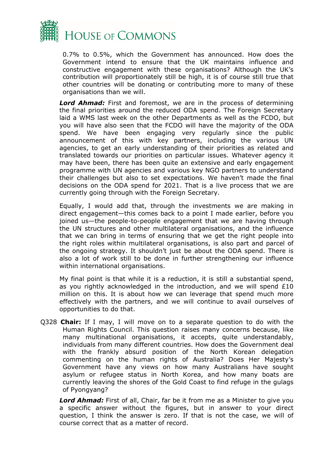

0.7% to 0.5%, which the Government has announced. How does the Government intend to ensure that the UK maintains influence and constructive engagement with these organisations? Although the UK's contribution will proportionately still be high, it is of course still true that other countries will be donating or contributing more to many of these organisations than we will.

*Lord Ahmad:* First and foremost, we are in the process of determining the final priorities around the reduced ODA spend. The Foreign Secretary laid a WMS last week on the other Departments as well as the FCDO, but you will have also seen that the FCDO will have the majority of the ODA spend. We have been engaging very regularly since the public announcement of this with key partners, including the various UN agencies, to get an early understanding of their priorities as related and translated towards our priorities on particular issues. Whatever agency it may have been, there has been quite an extensive and early engagement programme with UN agencies and various key NGO partners to understand their challenges but also to set expectations. We haven't made the final decisions on the ODA spend for 2021. That is a live process that we are currently going through with the Foreign Secretary.

Equally, I would add that, through the investments we are making in direct engagement—this comes back to a point I made earlier, before you joined us—the people-to-people engagement that we are having through the UN structures and other multilateral organisations, and the influence that we can bring in terms of ensuring that we get the right people into the right roles within multilateral organisations, is also part and parcel of the ongoing strategy. It shouldn't just be about the ODA spend. There is also a lot of work still to be done in further strengthening our influence within international organisations.

My final point is that while it is a reduction, it is still a substantial spend, as you rightly acknowledged in the introduction, and we will spend  $£10$ million on this. It is about how we can leverage that spend much more effectively with the partners, and we will continue to avail ourselves of opportunities to do that.

Q328 **Chair:** If I may, I will move on to a separate question to do with the Human Rights Council. This question raises many concerns because, like many multinational organisations, it accepts, quite understandably, individuals from many different countries. How does the Government deal with the frankly absurd position of the North Korean delegation commenting on the human rights of Australia? Does Her Majesty's Government have any views on how many Australians have sought asylum or refugee status in North Korea, and how many boats are currently leaving the shores of the Gold Coast to find refuge in the gulags of Pyongyang?

*Lord Ahmad:* First of all, Chair, far be it from me as a Minister to give you a specific answer without the figures, but in answer to your direct question, I think the answer is zero. If that is not the case, we will of course correct that as a matter of record.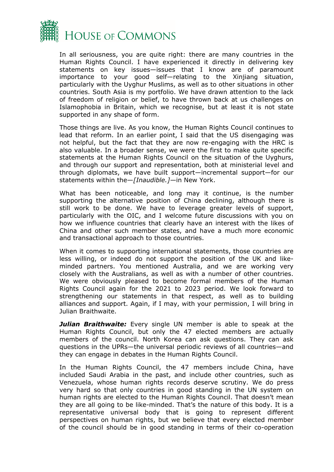

In all seriousness, you are quite right: there are many countries in the Human Rights Council. I have experienced it directly in delivering key statements on key issues—issues that I know are of paramount importance to your good self—relating to the Xinjiang situation, particularly with the Uyghur Muslims, as well as to other situations in other countries. South Asia is my portfolio. We have drawn attention to the lack of freedom of religion or belief, to have thrown back at us challenges on Islamophobia in Britain, which we recognise, but at least it is not state supported in any shape of form.

Those things are live. As you know, the Human Rights Council continues to lead that reform. In an earlier point, I said that the US disengaging was not helpful, but the fact that they are now re-engaging with the HRC is also valuable. In a broader sense, we were the first to make quite specific statements at the Human Rights Council on the situation of the Uyghurs, and through our support and representation, both at ministerial level and through diplomats, we have built support—incremental support—for our statements within the—*[Inaudible.]—*in New York.

What has been noticeable, and long may it continue, is the number supporting the alternative position of China declining, although there is still work to be done. We have to leverage greater levels of support, particularly with the OIC, and I welcome future discussions with you on how we influence countries that clearly have an interest with the likes of China and other such member states, and have a much more economic and transactional approach to those countries.

When it comes to supporting international statements, those countries are less willing, or indeed do not support the position of the UK and likeminded partners. You mentioned Australia, and we are working very closely with the Australians, as well as with a number of other countries. We were obviously pleased to become formal members of the Human Rights Council again for the 2021 to 2023 period. We look forward to strengthening our statements in that respect, as well as to building alliances and support. Again, if I may, with your permission, I will bring in Julian Braithwaite.

*Julian Braithwaite:* Every single UN member is able to speak at the Human Rights Council, but only the 47 elected members are actually members of the council. North Korea can ask questions. They can ask questions in the UPRs—the universal periodic reviews of all countries—and they can engage in debates in the Human Rights Council.

In the Human Rights Council, the 47 members include China, have included Saudi Arabia in the past, and include other countries, such as Venezuela, whose human rights records deserve scrutiny. We do press very hard so that only countries in good standing in the UN system on human rights are elected to the Human Rights Council. That doesn't mean they are all going to be like-minded. That's the nature of this body. It is a representative universal body that is going to represent different perspectives on human rights, but we believe that every elected member of the council should be in good standing in terms of their co-operation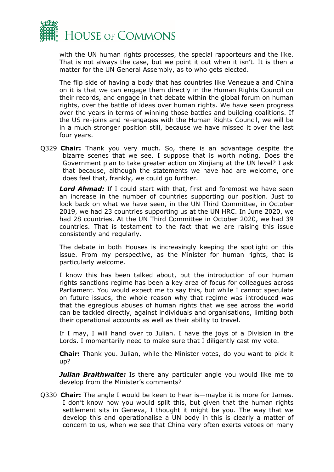

with the UN human rights processes, the special rapporteurs and the like. That is not always the case, but we point it out when it isn't. It is then a matter for the UN General Assembly, as to who gets elected.

The flip side of having a body that has countries like Venezuela and China on it is that we can engage them directly in the Human Rights Council on their records, and engage in that debate within the global forum on human rights, over the battle of ideas over human rights. We have seen progress over the years in terms of winning those battles and building coalitions. If the US re-joins and re-engages with the Human Rights Council, we will be in a much stronger position still, because we have missed it over the last four years.

Q329 **Chair:** Thank you very much. So, there is an advantage despite the bizarre scenes that we see. I suppose that is worth noting. Does the Government plan to take greater action on Xinjiang at the UN level? I ask that because, although the statements we have had are welcome, one does feel that, frankly, we could go further.

*Lord Ahmad:* If I could start with that, first and foremost we have seen an increase in the number of countries supporting our position. Just to look back on what we have seen, in the UN Third Committee, in October 2019, we had 23 countries supporting us at the UN HRC. In June 2020, we had 28 countries. At the UN Third Committee in October 2020, we had 39 countries. That is testament to the fact that we are raising this issue consistently and regularly.

The debate in both Houses is increasingly keeping the spotlight on this issue. From my perspective, as the Minister for human rights, that is particularly welcome.

I know this has been talked about, but the introduction of our human rights sanctions regime has been a key area of focus for colleagues across Parliament. You would expect me to say this, but while I cannot speculate on future issues, the whole reason why that regime was introduced was that the egregious abuses of human rights that we see across the world can be tackled directly, against individuals and organisations, limiting both their operational accounts as well as their ability to travel.

If I may, I will hand over to Julian. I have the joys of a Division in the Lords. I momentarily need to make sure that I diligently cast my vote.

**Chair:** Thank you. Julian, while the Minister votes, do you want to pick it up?

*Julian Braithwaite:* Is there any particular angle you would like me to develop from the Minister's comments?

Q330 **Chair:** The angle I would be keen to hear is—maybe it is more for James. I don't know how you would split this, but given that the human rights settlement sits in Geneva, I thought it might be you. The way that we develop this and operationalise a UN body in this is clearly a matter of concern to us, when we see that China very often exerts vetoes on many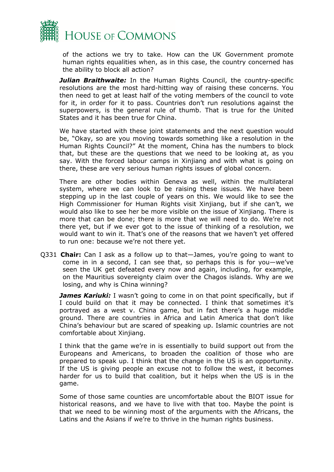

of the actions we try to take. How can the UK Government promote human rights equalities when, as in this case, the country concerned has the ability to block all action?

*Julian Braithwaite:* In the Human Rights Council, the country-specific resolutions are the most hard-hitting way of raising these concerns. You then need to get at least half of the voting members of the council to vote for it, in order for it to pass. Countries don't run resolutions against the superpowers, is the general rule of thumb. That is true for the United States and it has been true for China.

We have started with these joint statements and the next question would be, "Okay, so are you moving towards something like a resolution in the Human Rights Council?" At the moment, China has the numbers to block that, but these are the questions that we need to be looking at, as you say. With the forced labour camps in Xinjiang and with what is going on there, these are very serious human rights issues of global concern.

There are other bodies within Geneva as well, within the multilateral system, where we can look to be raising these issues. We have been stepping up in the last couple of years on this. We would like to see the High Commissioner for Human Rights visit Xinjiang, but if she can't, we would also like to see her be more visible on the issue of Xinjiang. There is more that can be done; there is more that we will need to do. We're not there yet, but if we ever got to the issue of thinking of a resolution, we would want to win it. That's one of the reasons that we haven't yet offered to run one: because we're not there yet.

Q331 **Chair:** Can I ask as a follow up to that—James, you're going to want to come in in a second, I can see that, so perhaps this is for you—we've seen the UK get defeated every now and again, including, for example, on the Mauritius sovereignty claim over the Chagos islands. Why are we losing, and why is China winning?

*James Kariuki:* I wasn't going to come in on that point specifically, but if I could build on that it may be connected. I think that sometimes it's portrayed as a west v. China game, but in fact there's a huge middle ground. There are countries in Africa and Latin America that don't like China's behaviour but are scared of speaking up. Islamic countries are not comfortable about Xinjiang.

I think that the game we're in is essentially to build support out from the Europeans and Americans, to broaden the coalition of those who are prepared to speak up. I think that the change in the US is an opportunity. If the US is giving people an excuse not to follow the west, it becomes harder for us to build that coalition, but it helps when the US is in the game.

Some of those same counties are uncomfortable about the BIOT issue for historical reasons, and we have to live with that too. Maybe the point is that we need to be winning most of the arguments with the Africans, the Latins and the Asians if we're to thrive in the human rights business.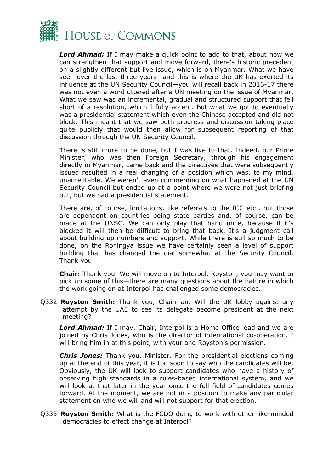

*Lord Ahmad:* If I may make a quick point to add to that, about how we can strengthen that support and move forward, there's historic precedent on a slightly different but live issue, which is on Myanmar. What we have seen over the last three years—and this is where the UK has exerted its influence at the UN Security Council—you will recall back in 2016-17 there was not even a word uttered after a UN meeting on the issue of Myanmar. What we saw was an incremental, gradual and structured support that fell short of a resolution, which I fully accept. But what we got to eventually was a presidential statement which even the Chinese accepted and did not block. This meant that we saw both progress and discussion taking place quite publicly that would then allow for subsequent reporting of that discussion through the UN Security Council.

There is still more to be done, but I was live to that. Indeed, our Prime Minister, who was then Foreign Secretary, through his engagement directly in Myanmar, came back and the directives that were subsequently issued resulted in a real changing of a position which was, to my mind, unacceptable. We weren't even commenting on what happened at the UN Security Council but ended up at a point where we were not just briefing out, but we had a presidential statement.

There are, of course, limitations, like referrals to the ICC etc., but those are dependent on countries being state parties and, of course, can be made at the UNSC. We can only play that hand once, because if it's blocked it will then be difficult to bring that back. It's a judgment call about building up numbers and support. While there is still so much to be done, on the Rohingya issue we have certainly seen a level of support building that has changed the dial somewhat at the Security Council. Thank you.

**Chair:** Thank you. We will move on to Interpol. Royston, you may want to pick up some of this—there are many questions about the nature in which the work going on at Interpol has challenged some democracies.

Q332 **Royston Smith:** Thank you, Chairman. Will the UK lobby against any attempt by the UAE to see its delegate become president at the next meeting?

*Lord Ahmad:* If I may, Chair, Interpol is a Home Office lead and we are joined by Chris Jones, who is the director of international co-operation. I will bring him in at this point, with your and Royston's permission.

*Chris Jones:* Thank you, Minister. For the presidential elections coming up at the end of this year, it is too soon to say who the candidates will be. Obviously, the UK will look to support candidates who have a history of observing high standards in a rules-based international system, and we will look at that later in the year once the full field of candidates comes forward. At the moment, we are not in a position to make any particular statement on who we will and will not support for that election.

Q333 **Royston Smith:** What is the FCDO doing to work with other like-minded democracies to effect change at Interpol?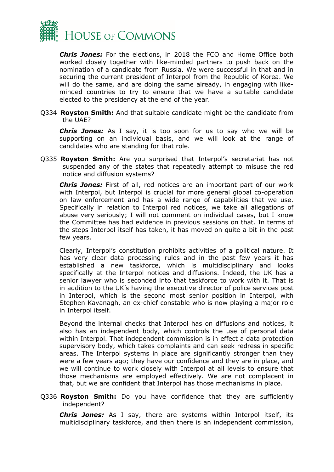

*Chris Jones:* For the elections, in 2018 the FCO and Home Office both worked closely together with like-minded partners to push back on the nomination of a candidate from Russia. We were successful in that and in securing the current president of Interpol from the Republic of Korea. We will do the same, and are doing the same already, in engaging with likeminded countries to try to ensure that we have a suitable candidate elected to the presidency at the end of the year.

Q334 **Royston Smith:** And that suitable candidate might be the candidate from the UAE?

*Chris Jones:* As I say, it is too soon for us to say who we will be supporting on an individual basis, and we will look at the range of candidates who are standing for that role.

Q335 **Royston Smith:** Are you surprised that Interpol's secretariat has not suspended any of the states that repeatedly attempt to misuse the red notice and diffusion systems?

*Chris Jones:* First of all, red notices are an important part of our work with Interpol, but Interpol is crucial for more general global co-operation on law enforcement and has a wide range of capabilities that we use. Specifically in relation to Interpol red notices, we take all allegations of abuse very seriously; I will not comment on individual cases, but I know the Committee has had evidence in previous sessions on that. In terms of the steps Interpol itself has taken, it has moved on quite a bit in the past few years.

Clearly, Interpol's constitution prohibits activities of a political nature. It has very clear data processing rules and in the past few years it has established a new taskforce, which is multidisciplinary and looks specifically at the Interpol notices and diffusions. Indeed, the UK has a senior lawyer who is seconded into that taskforce to work with it. That is in addition to the UK's having the executive director of police services post in Interpol, which is the second most senior position in Interpol, with Stephen Kavanagh, an ex-chief constable who is now playing a major role in Interpol itself.

Beyond the internal checks that Interpol has on diffusions and notices, it also has an independent body, which controls the use of personal data within Interpol. That independent commission is in effect a data protection supervisory body, which takes complaints and can seek redress in specific areas. The Interpol systems in place are significantly stronger than they were a few years ago; they have our confidence and they are in place, and we will continue to work closely with Interpol at all levels to ensure that those mechanisms are employed effectively. We are not complacent in that, but we are confident that Interpol has those mechanisms in place.

Q336 **Royston Smith:** Do you have confidence that they are sufficiently independent?

*Chris Jones:* As I say, there are systems within Interpol itself, its multidisciplinary taskforce, and then there is an independent commission,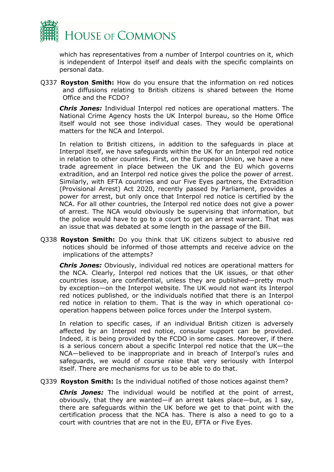

which has representatives from a number of Interpol countries on it, which is independent of Interpol itself and deals with the specific complaints on personal data.

Q337 **Royston Smith:** How do you ensure that the information on red notices and diffusions relating to British citizens is shared between the Home Office and the FCDO?

*Chris Jones:* Individual Interpol red notices are operational matters. The National Crime Agency hosts the UK Interpol bureau, so the Home Office itself would not see those individual cases. They would be operational matters for the NCA and Interpol.

In relation to British citizens, in addition to the safeguards in place at Interpol itself, we have safeguards within the UK for an Interpol red notice in relation to other countries. First, on the European Union, we have a new trade agreement in place between the UK and the EU which governs extradition, and an Interpol red notice gives the police the power of arrest. Similarly, with EFTA countries and our Five Eyes partners, the Extradition (Provisional Arrest) Act 2020, recently passed by Parliament, provides a power for arrest, but only once that Interpol red notice is certified by the NCA. For all other countries, the Interpol red notice does not give a power of arrest. The NCA would obviously be supervising that information, but the police would have to go to a court to get an arrest warrant. That was an issue that was debated at some length in the passage of the Bill.

Q338 **Royston Smith:** Do you think that UK citizens subject to abusive red notices should be informed of those attempts and receive advice on the implications of the attempts?

*Chris Jones:* Obviously, individual red notices are operational matters for the NCA. Clearly, Interpol red notices that the UK issues, or that other countries issue, are confidential, unless they are published—pretty much by exception—on the Interpol website. The UK would not want its Interpol red notices published, or the individuals notified that there is an Interpol red notice in relation to them. That is the way in which operational cooperation happens between police forces under the Interpol system.

In relation to specific cases, if an individual British citizen is adversely affected by an Interpol red notice, consular support can be provided. Indeed, it is being provided by the FCDO in some cases. Moreover, if there is a serious concern about a specific Interpol red notice that the UK—the NCA—believed to be inappropriate and in breach of Interpol's rules and safeguards, we would of course raise that very seriously with Interpol itself. There are mechanisms for us to be able to do that.

Q339 **Royston Smith:** Is the individual notified of those notices against them?

*Chris Jones:* The individual would be notified at the point of arrest, obviously, that they are wanted—if an arrest takes place—but, as I say, there are safeguards within the UK before we get to that point with the certification process that the NCA has. There is also a need to go to a court with countries that are not in the EU, EFTA or Five Eyes.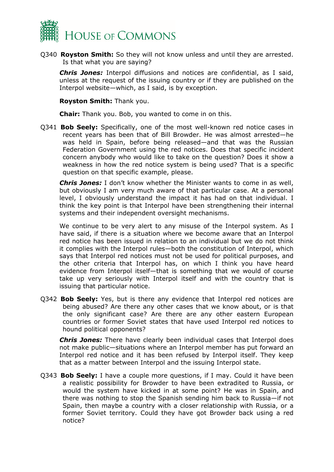

Q340 **Royston Smith:** So they will not know unless and until they are arrested. Is that what you are saying?

*Chris Jones:* Interpol diffusions and notices are confidential, as I said, unless at the request of the issuing country or if they are published on the Interpol website—which, as I said, is by exception.

**Royston Smith:** Thank you.

**Chair:** Thank you. Bob, you wanted to come in on this.

Q341 **Bob Seely:** Specifically, one of the most well-known red notice cases in recent years has been that of Bill Browder. He was almost arrested—he was held in Spain, before being released—and that was the Russian Federation Government using the red notices. Does that specific incident concern anybody who would like to take on the question? Does it show a weakness in how the red notice system is being used? That is a specific question on that specific example, please.

*Chris Jones:* I don't know whether the Minister wants to come in as well, but obviously I am very much aware of that particular case. At a personal level, I obviously understand the impact it has had on that individual. I think the key point is that Interpol have been strengthening their internal systems and their independent oversight mechanisms.

We continue to be very alert to any misuse of the Interpol system. As I have said, if there is a situation where we become aware that an Interpol red notice has been issued in relation to an individual but we do not think it complies with the Interpol rules—both the constitution of Interpol, which says that Interpol red notices must not be used for political purposes, and the other criteria that Interpol has, on which I think you have heard evidence from Interpol itself—that is something that we would of course take up very seriously with Interpol itself and with the country that is issuing that particular notice.

Q342 **Bob Seely:** Yes, but is there any evidence that Interpol red notices are being abused? Are there any other cases that we know about, or is that the only significant case? Are there are any other eastern European countries or former Soviet states that have used Interpol red notices to hound political opponents?

*Chris Jones:* There have clearly been individual cases that Interpol does not make public—situations where an Interpol member has put forward an Interpol red notice and it has been refused by Interpol itself. They keep that as a matter between Interpol and the issuing Interpol state.

Q343 **Bob Seely:** I have a couple more questions, if I may. Could it have been a realistic possibility for Browder to have been extradited to Russia, or would the system have kicked in at some point? He was in Spain, and there was nothing to stop the Spanish sending him back to Russia—if not Spain, then maybe a country with a closer relationship with Russia, or a former Soviet territory. Could they have got Browder back using a red notice?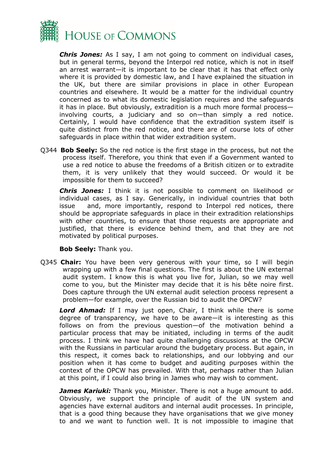

*Chris Jones:* As I say, I am not going to comment on individual cases, but in general terms, beyond the Interpol red notice, which is not in itself an arrest warrant—it is important to be clear that it has that effect only where it is provided by domestic law, and I have explained the situation in the UK, but there are similar provisions in place in other European countries and elsewhere. It would be a matter for the individual country concerned as to what its domestic legislation requires and the safeguards it has in place. But obviously, extradition is a much more formal process involving courts, a judiciary and so on—than simply a red notice. Certainly, I would have confidence that the extradition system itself is quite distinct from the red notice, and there are of course lots of other safeguards in place within that wider extradition system.

Q344 **Bob Seely:** So the red notice is the first stage in the process, but not the process itself. Therefore, you think that even if a Government wanted to use a red notice to abuse the freedoms of a British citizen or to extradite them, it is very unlikely that they would succeed. Or would it be impossible for them to succeed?

*Chris Jones:* I think it is not possible to comment on likelihood or individual cases, as I say. Generically, in individual countries that both issue and, more importantly, respond to Interpol red notices, there should be appropriate safeguards in place in their extradition relationships with other countries, to ensure that those requests are appropriate and justified, that there is evidence behind them, and that they are not motivated by political purposes.

**Bob Seely:** Thank you.

Q345 **Chair:** You have been very generous with your time, so I will begin wrapping up with a few final questions. The first is about the UN external audit system. I know this is what you live for, Julian, so we may well come to you, but the Minister may decide that it is his bête noire first. Does capture through the UN external audit selection process represent a problem—for example, over the Russian bid to audit the OPCW?

*Lord Ahmad:* If I may just open, Chair, I think while there is some degree of transparency, we have to be aware—it is interesting as this follows on from the previous question—of the motivation behind a particular process that may be initiated, including in terms of the audit process. I think we have had quite challenging discussions at the OPCW with the Russians in particular around the budgetary process. But again, in this respect, it comes back to relationships, and our lobbying and our position when it has come to budget and auditing purposes within the context of the OPCW has prevailed. With that, perhaps rather than Julian at this point, if I could also bring in James who may wish to comment.

*James Kariuki:* Thank you, Minister. There is not a huge amount to add. Obviously, we support the principle of audit of the UN system and agencies have external auditors and internal audit processes. In principle, that is a good thing because they have organisations that we give money to and we want to function well. It is not impossible to imagine that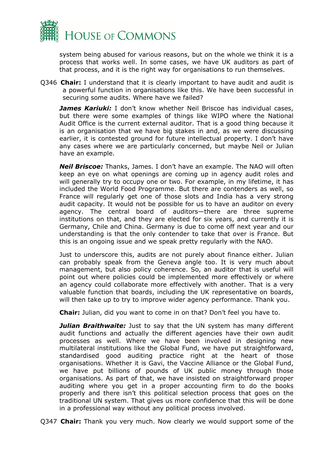

system being abused for various reasons, but on the whole we think it is a process that works well. In some cases, we have UK auditors as part of that process, and it is the right way for organisations to run themselves.

Q346 **Chair:** I understand that it is clearly important to have audit and audit is a powerful function in organisations like this. We have been successful in securing some audits. Where have we failed?

*James Kariuki:* I don't know whether Neil Briscoe has individual cases, but there were some examples of things like WIPO where the National Audit Office is the current external auditor. That is a good thing because it is an organisation that we have big stakes in and, as we were discussing earlier, it is contested ground for future intellectual property. I don't have any cases where we are particularly concerned, but maybe Neil or Julian have an example.

*Neil Briscoe:* Thanks, James. I don't have an example. The NAO will often keep an eye on what openings are coming up in agency audit roles and will generally try to occupy one or two. For example, in my lifetime, it has included the World Food Programme. But there are contenders as well, so France will regularly get one of those slots and India has a very strong audit capacity. It would not be possible for us to have an auditor on every agency. The central board of auditors—there are three supreme institutions on that, and they are elected for six years, and currently it is Germany, Chile and China. Germany is due to come off next year and our understanding is that the only contender to take that over is France. But this is an ongoing issue and we speak pretty regularly with the NAO.

Just to underscore this, audits are not purely about finance either. Julian can probably speak from the Geneva angle too. It is very much about management, but also policy coherence. So, an auditor that is useful will point out where policies could be implemented more effectively or where an agency could collaborate more effectively with another. That is a very valuable function that boards, including the UK representative on boards, will then take up to try to improve wider agency performance. Thank you.

**Chair:** Julian, did you want to come in on that? Don't feel you have to.

**Julian Braithwaite:** Just to say that the UN system has many different audit functions and actually the different agencies have their own audit processes as well. Where we have been involved in designing new multilateral institutions like the Global Fund, we have put straightforward, standardised good auditing practice right at the heart of those organisations. Whether it is Gavi, the Vaccine Alliance or the Global Fund, we have put billions of pounds of UK public money through those organisations. As part of that, we have insisted on straightforward proper auditing where you get in a proper accounting firm to do the books properly and there isn't this political selection process that goes on the traditional UN system. That gives us more confidence that this will be done in a professional way without any political process involved.

Q347 **Chair:** Thank you very much. Now clearly we would support some of the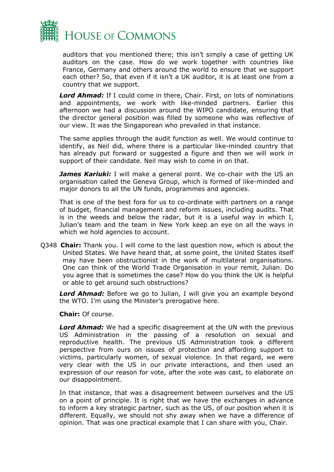

auditors that you mentioned there; this isn't simply a case of getting UK auditors on the case. How do we work together with countries like France, Germany and others around the world to ensure that we support each other? So, that even if it isn't a UK auditor, it is at least one from a country that we support.

*Lord Ahmad:* If I could come in there, Chair. First, on lots of nominations and appointments, we work with like-minded partners. Earlier this afternoon we had a discussion around the WIPO candidate, ensuring that the director general position was filled by someone who was reflective of our view. It was the Singaporean who prevailed in that instance.

The same applies through the audit function as well. We would continue to identify, as Neil did, where there is a particular like-minded country that has already put forward or suggested a figure and then we will work in support of their candidate. Neil may wish to come in on that.

**James Kariuki:** I will make a general point. We co-chair with the US an organisation called the Geneva Group, which is formed of like-minded and major donors to all the UN funds, programmes and agencies.

That is one of the best fora for us to co-ordinate with partners on a range of budget, financial management and reform issues, including audits. That is in the weeds and below the radar, but it is a useful way in which I, Julian's team and the team in New York keep an eye on all the ways in which we hold agencies to account.

Q348 **Chair:** Thank you. I will come to the last question now, which is about the United States. We have heard that, at some point, the United States itself may have been obstructionist in the work of multilateral organisations. One can think of the World Trade Organisation in your remit, Julian. Do you agree that is sometimes the case? How do you think the UK is helpful or able to get around such obstructions?

*Lord Ahmad:* Before we go to Julian, I will give you an example beyond the WTO. I'm using the Minister's prerogative here.

**Chair:** Of course.

*Lord Ahmad:* We had a specific disagreement at the UN with the previous US Administration in the passing of a resolution on sexual and reproductive health. The previous US Administration took a different perspective from ours on issues of protection and affording support to victims, particularly women, of sexual violence. In that regard, we were very clear with the US in our private interactions, and then used an expression of our reason for vote, after the vote was cast, to elaborate on our disappointment.

In that instance, that was a disagreement between ourselves and the US on a point of principle. It is right that we have the exchanges in advance to inform a key strategic partner, such as the US, of our position when it is different. Equally, we should not shy away when we have a difference of opinion. That was one practical example that I can share with you, Chair.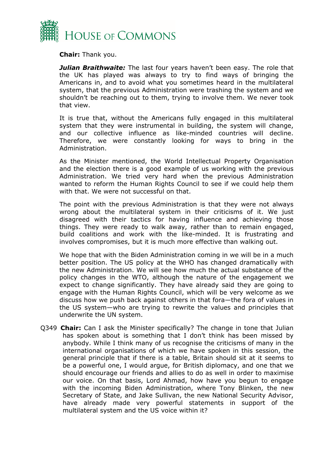

**Chair:** Thank you.

*Julian Braithwaite:* The last four years haven't been easy. The role that the UK has played was always to try to find ways of bringing the Americans in, and to avoid what you sometimes heard in the multilateral system, that the previous Administration were trashing the system and we shouldn't be reaching out to them, trying to involve them. We never took that view.

It is true that, without the Americans fully engaged in this multilateral system that they were instrumental in building, the system will change, and our collective influence as like-minded countries will decline. Therefore, we were constantly looking for ways to bring in the Administration.

As the Minister mentioned, the World Intellectual Property Organisation and the election there is a good example of us working with the previous Administration. We tried very hard when the previous Administration wanted to reform the Human Rights Council to see if we could help them with that. We were not successful on that.

The point with the previous Administration is that they were not always wrong about the multilateral system in their criticisms of it. We just disagreed with their tactics for having influence and achieving those things. They were ready to walk away, rather than to remain engaged, build coalitions and work with the like-minded. It is frustrating and involves compromises, but it is much more effective than walking out.

We hope that with the Biden Administration coming in we will be in a much better position. The US policy at the WHO has changed dramatically with the new Administration. We will see how much the actual substance of the policy changes in the WTO, although the nature of the engagement we expect to change significantly. They have already said they are going to engage with the Human Rights Council, which will be very welcome as we discuss how we push back against others in that fora—the fora of values in the US system—who are trying to rewrite the values and principles that underwrite the UN system.

Q349 **Chair:** Can I ask the Minister specifically? The change in tone that Julian has spoken about is something that I don't think has been missed by anybody. While I think many of us recognise the criticisms of many in the international organisations of which we have spoken in this session, the general principle that if there is a table, Britain should sit at it seems to be a powerful one, I would argue, for British diplomacy, and one that we should encourage our friends and allies to do as well in order to maximise our voice. On that basis, Lord Ahmad, how have you begun to engage with the incoming Biden Administration, where Tony Blinken, the new Secretary of State, and Jake Sullivan, the new National Security Advisor, have already made very powerful statements in support of the multilateral system and the US voice within it?